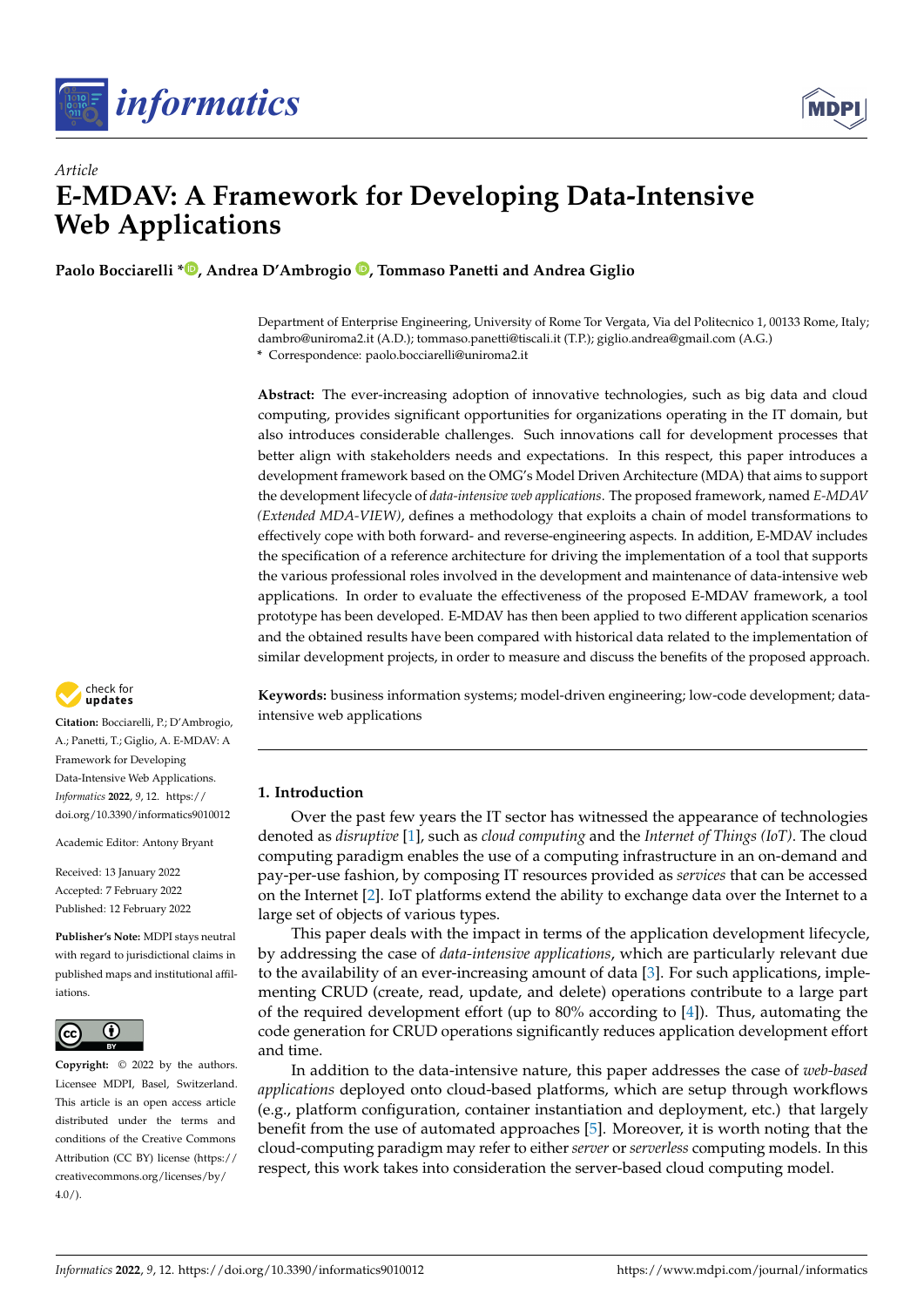



# *Article* **E-MDAV: A Framework for Developing Data-Intensive Web Applications**

**Paolo Bocciarelli \* [,](https://orcid.org/0000-0003-3656-5372) Andrea D'Ambrogio [,](https://orcid.org/0000-0001-5711-1527) Tommaso Panetti and Andrea Giglio**

Department of Enterprise Engineering, University of Rome Tor Vergata, Via del Politecnico 1, 00133 Rome, Italy; dambro@uniroma2.it (A.D.); tommaso.panetti@tiscali.it (T.P.); giglio.andrea@gmail.com (A.G.) **\*** Correspondence: paolo.bocciarelli@uniroma2.it

**Abstract:** The ever-increasing adoption of innovative technologies, such as big data and cloud computing, provides significant opportunities for organizations operating in the IT domain, but also introduces considerable challenges. Such innovations call for development processes that better align with stakeholders needs and expectations. In this respect, this paper introduces a development framework based on the OMG's Model Driven Architecture (MDA) that aims to support the development lifecycle of *data-intensive web applications*. The proposed framework, named *E-MDAV (Extended MDA-VIEW)*, defines a methodology that exploits a chain of model transformations to effectively cope with both forward- and reverse-engineering aspects. In addition, E-MDAV includes the specification of a reference architecture for driving the implementation of a tool that supports the various professional roles involved in the development and maintenance of data-intensive web applications. In order to evaluate the effectiveness of the proposed E-MDAV framework, a tool prototype has been developed. E-MDAV has then been applied to two different application scenarios and the obtained results have been compared with historical data related to the implementation of similar development projects, in order to measure and discuss the benefits of the proposed approach.

check for **-**

**Citation:** Bocciarelli, P.; D'Ambrogio, A.; Panetti, T.; Giglio, A. E-MDAV: A Framework for Developing Data-Intensive Web Applications. *Informatics* **2022**, *9*, 12. [https://](https://doi.org/10.3390/informatics9010012) [doi.org/10.3390/informatics9010012](https://doi.org/10.3390/informatics9010012)

Academic Editor: Antony Bryant

Received: 13 January 2022 Accepted: 7 February 2022 Published: 12 February 2022

**Publisher's Note:** MDPI stays neutral with regard to jurisdictional claims in published maps and institutional affiliations.



**Copyright:** © 2022 by the authors. Licensee MDPI, Basel, Switzerland. This article is an open access article distributed under the terms and conditions of the Creative Commons Attribution (CC BY) license [\(https://](https://creativecommons.org/licenses/by/4.0/) [creativecommons.org/licenses/by/](https://creativecommons.org/licenses/by/4.0/)  $4.0/$ ).

**Keywords:** business information systems; model-driven engineering; low-code development; dataintensive web applications

# <span id="page-0-0"></span>**1. Introduction**

Over the past few years the IT sector has witnessed the appearance of technologies denoted as *disruptive* [\[1\]](#page-18-0), such as *cloud computing* and the *Internet of Things (IoT)*. The cloud computing paradigm enables the use of a computing infrastructure in an on-demand and pay-per-use fashion, by composing IT resources provided as *services* that can be accessed on the Internet [\[2\]](#page-18-1). IoT platforms extend the ability to exchange data over the Internet to a large set of objects of various types.

This paper deals with the impact in terms of the application development lifecycle, by addressing the case of *data-intensive applications*, which are particularly relevant due to the availability of an ever-increasing amount of data [\[3\]](#page-18-2). For such applications, implementing CRUD (create, read, update, and delete) operations contribute to a large part of the required development effort (up to  $80\%$  according to [\[4\]](#page-18-3)). Thus, automating the code generation for CRUD operations significantly reduces application development effort and time.

In addition to the data-intensive nature, this paper addresses the case of *web-based applications* deployed onto cloud-based platforms, which are setup through workflows (e.g., platform configuration, container instantiation and deployment, etc.) that largely benefit from the use of automated approaches [\[5\]](#page-19-0). Moreover, it is worth noting that the cloud-computing paradigm may refer to either *server* or *serverless* computing models. In this respect, this work takes into consideration the server-based cloud computing model.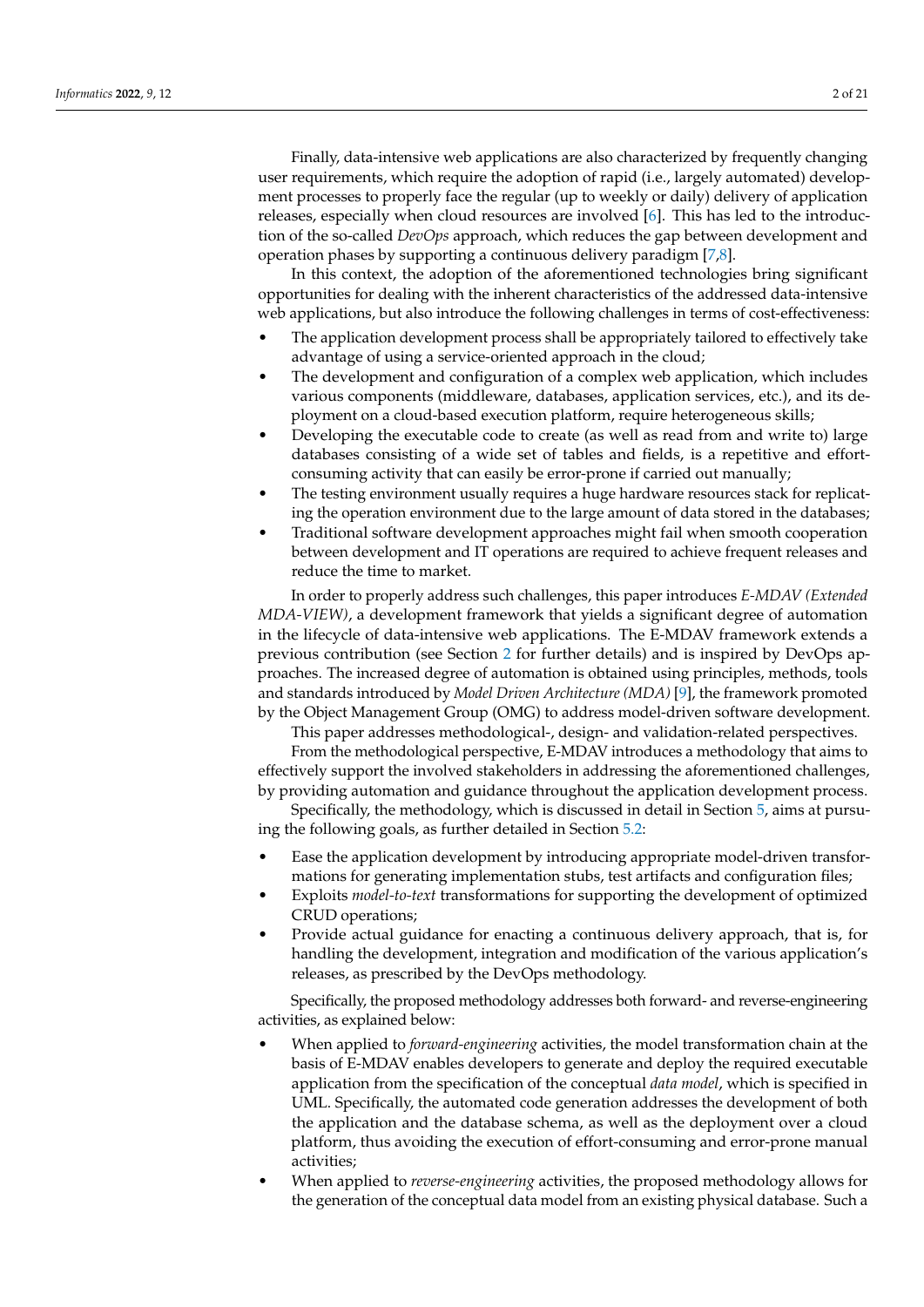Finally, data-intensive web applications are also characterized by frequently changing user requirements, which require the adoption of rapid (i.e., largely automated) development processes to properly face the regular (up to weekly or daily) delivery of application releases, especially when cloud resources are involved [\[6\]](#page-19-1). This has led to the introduction of the so-called *DevOps* approach, which reduces the gap between development and operation phases by supporting a continuous delivery paradigm [\[7,](#page-19-2)[8\]](#page-19-3).

In this context, the adoption of the aforementioned technologies bring significant opportunities for dealing with the inherent characteristics of the addressed data-intensive web applications, but also introduce the following challenges in terms of cost-effectiveness:

- The application development process shall be appropriately tailored to effectively take advantage of using a service-oriented approach in the cloud;
- The development and configuration of a complex web application, which includes various components (middleware, databases, application services, etc.), and its deployment on a cloud-based execution platform, require heterogeneous skills;
- Developing the executable code to create (as well as read from and write to) large databases consisting of a wide set of tables and fields, is a repetitive and effortconsuming activity that can easily be error-prone if carried out manually;
- The testing environment usually requires a huge hardware resources stack for replicating the operation environment due to the large amount of data stored in the databases;
- Traditional software development approaches might fail when smooth cooperation between development and IT operations are required to achieve frequent releases and reduce the time to market.

In order to properly address such challenges, this paper introduces *E-MDAV (Extended MDA-VIEW)*, a development framework that yields a significant degree of automation in the lifecycle of data-intensive web applications. The E-MDAV framework extends a previous contribution (see Section [2](#page-2-0) for further details) and is inspired by DevOps approaches. The increased degree of automation is obtained using principles, methods, tools and standards introduced by *Model Driven Architecture (MDA)* [\[9\]](#page-19-4), the framework promoted by the Object Management Group (OMG) to address model-driven software development.

This paper addresses methodological-, design- and validation-related perspectives.

From the methodological perspective, E-MDAV introduces a methodology that aims to effectively support the involved stakeholders in addressing the aforementioned challenges, by providing automation and guidance throughout the application development process.

Specifically, the methodology, which is discussed in detail in Section [5,](#page-8-0) aims at pursuing the following goals, as further detailed in Section [5.2:](#page-9-0)

- Ease the application development by introducing appropriate model-driven transformations for generating implementation stubs, test artifacts and configuration files;
- Exploits *model-to-text* transformations for supporting the development of optimized CRUD operations;
- Provide actual guidance for enacting a continuous delivery approach, that is, for handling the development, integration and modification of the various application's releases, as prescribed by the DevOps methodology.

Specifically, the proposed methodology addresses both forward- and reverse-engineering activities, as explained below:

- When applied to *forward-engineering* activities, the model transformation chain at the basis of E-MDAV enables developers to generate and deploy the required executable application from the specification of the conceptual *data model*, which is specified in UML. Specifically, the automated code generation addresses the development of both the application and the database schema, as well as the deployment over a cloud platform, thus avoiding the execution of effort-consuming and error-prone manual activities;
- When applied to *reverse-engineering* activities, the proposed methodology allows for the generation of the conceptual data model from an existing physical database. Such a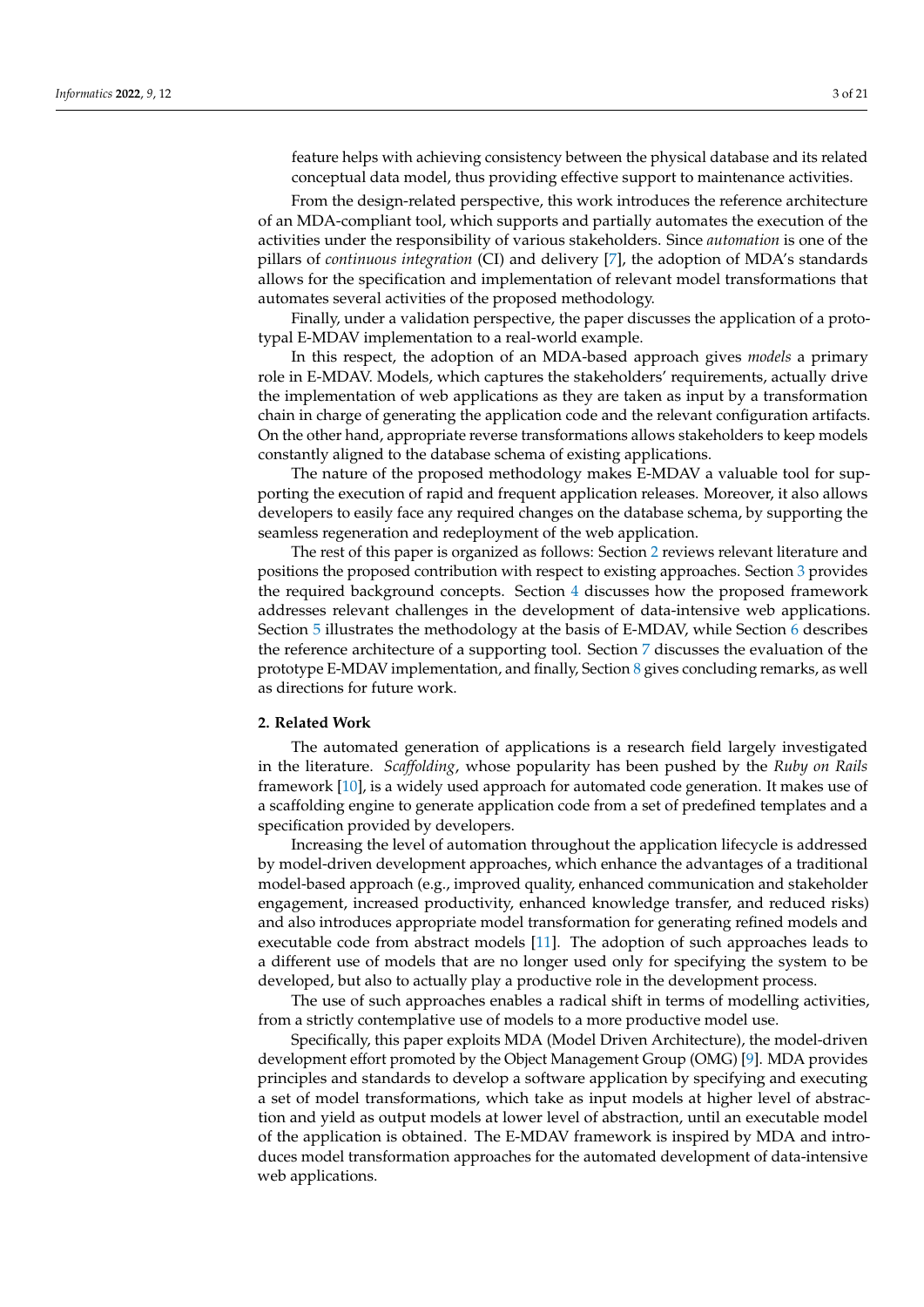feature helps with achieving consistency between the physical database and its related conceptual data model, thus providing effective support to maintenance activities.

From the design-related perspective, this work introduces the reference architecture of an MDA-compliant tool, which supports and partially automates the execution of the activities under the responsibility of various stakeholders. Since *automation* is one of the pillars of *continuous integration* (CI) and delivery [\[7\]](#page-19-2), the adoption of MDA's standards allows for the specification and implementation of relevant model transformations that automates several activities of the proposed methodology.

Finally, under a validation perspective, the paper discusses the application of a prototypal E-MDAV implementation to a real-world example.

In this respect, the adoption of an MDA-based approach gives *models* a primary role in E-MDAV. Models, which captures the stakeholders' requirements, actually drive the implementation of web applications as they are taken as input by a transformation chain in charge of generating the application code and the relevant configuration artifacts. On the other hand, appropriate reverse transformations allows stakeholders to keep models constantly aligned to the database schema of existing applications.

The nature of the proposed methodology makes E-MDAV a valuable tool for supporting the execution of rapid and frequent application releases. Moreover, it also allows developers to easily face any required changes on the database schema, by supporting the seamless regeneration and redeployment of the web application.

The rest of this paper is organized as follows: Section [2](#page-2-0) reviews relevant literature and positions the proposed contribution with respect to existing approaches. Section [3](#page-4-0) provides the required background concepts. Section [4](#page-7-0) discusses how the proposed framework addresses relevant challenges in the development of data-intensive web applications. Section [5](#page-8-0) illustrates the methodology at the basis of E-MDAV, while Section [6](#page-13-0) describes the reference architecture of a supporting tool. Section [7](#page-15-0) discusses the evaluation of the prototype E-MDAV implementation, and finally, Section [8](#page-18-4) gives concluding remarks, as well as directions for future work.

## <span id="page-2-0"></span>**2. Related Work**

The automated generation of applications is a research field largely investigated in the literature. *Scaffolding*, whose popularity has been pushed by the *Ruby on Rails* framework [\[10\]](#page-19-5), is a widely used approach for automated code generation. It makes use of a scaffolding engine to generate application code from a set of predefined templates and a specification provided by developers.

Increasing the level of automation throughout the application lifecycle is addressed by model-driven development approaches, which enhance the advantages of a traditional model-based approach (e.g., improved quality, enhanced communication and stakeholder engagement, increased productivity, enhanced knowledge transfer, and reduced risks) and also introduces appropriate model transformation for generating refined models and executable code from abstract models [\[11\]](#page-19-6). The adoption of such approaches leads to a different use of models that are no longer used only for specifying the system to be developed, but also to actually play a productive role in the development process.

The use of such approaches enables a radical shift in terms of modelling activities, from a strictly contemplative use of models to a more productive model use.

Specifically, this paper exploits MDA (Model Driven Architecture), the model-driven development effort promoted by the Object Management Group (OMG) [\[9\]](#page-19-4). MDA provides principles and standards to develop a software application by specifying and executing a set of model transformations, which take as input models at higher level of abstraction and yield as output models at lower level of abstraction, until an executable model of the application is obtained. The E-MDAV framework is inspired by MDA and introduces model transformation approaches for the automated development of data-intensive web applications.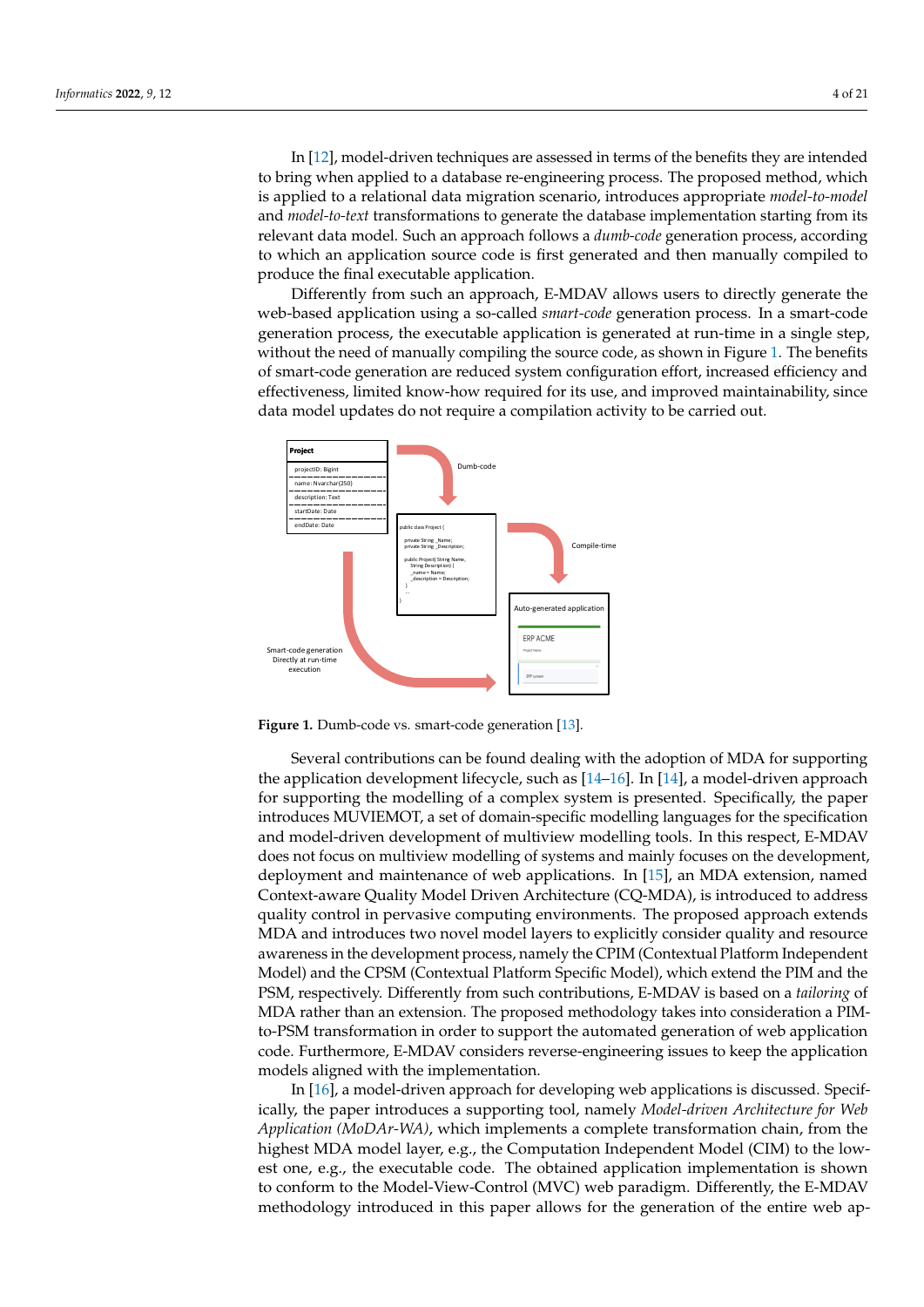In [\[12\]](#page-19-7), model-driven techniques are assessed in terms of the benefits they are intended to bring when applied to a database re-engineering process. The proposed method, which is applied to a relational data migration scenario, introduces appropriate *model-to-model* and *model-to-text* transformations to generate the database implementation starting from its relevant data model. Such an approach follows a *dumb-code* generation process, according to which an application source code is first generated and then manually compiled to produce the final executable application.

Differently from such an approach, E-MDAV allows users to directly generate the web-based application using a so-called *smart-code* generation process. In a smart-code generation process, the executable application is generated at run-time in a single step, without the need of manually compiling the source code, as shown in Figure [1.](#page-3-0) The benefits of smart-code generation are reduced system configuration effort, increased efficiency and effectiveness, limited know-how required for its use, and improved maintainability, since data model updates do not require a compilation activity to be carried out.

<span id="page-3-0"></span>

**Figure 1.** Dumb-code vs. smart-code generation [\[13\]](#page-19-8).

Several contributions can be found dealing with the adoption of MDA for supporting the application development lifecycle, such as  $[14–16]$  $[14–16]$ . In  $[14]$ , a model-driven approach for supporting the modelling of a complex system is presented. Specifically, the paper introduces MUVIEMOT, a set of domain-specific modelling languages for the specification and model-driven development of multiview modelling tools. In this respect, E-MDAV does not focus on multiview modelling of systems and mainly focuses on the development, deployment and maintenance of web applications. In [\[15\]](#page-19-11), an MDA extension, named Context-aware Quality Model Driven Architecture (CQ-MDA), is introduced to address quality control in pervasive computing environments. The proposed approach extends MDA and introduces two novel model layers to explicitly consider quality and resource awareness in the development process, namely the CPIM (Contextual Platform Independent Model) and the CPSM (Contextual Platform Specific Model), which extend the PIM and the PSM, respectively. Differently from such contributions, E-MDAV is based on a *tailoring* of MDA rather than an extension. The proposed methodology takes into consideration a PIMto-PSM transformation in order to support the automated generation of web application code. Furthermore, E-MDAV considers reverse-engineering issues to keep the application models aligned with the implementation.

In [\[16\]](#page-19-10), a model-driven approach for developing web applications is discussed. Specifically, the paper introduces a supporting tool, namely *Model-driven Architecture for Web Application (MoDAr-WA)*, which implements a complete transformation chain, from the highest MDA model layer, e.g., the Computation Independent Model (CIM) to the lowest one, e.g., the executable code. The obtained application implementation is shown to conform to the Model-View-Control (MVC) web paradigm. Differently, the E-MDAV methodology introduced in this paper allows for the generation of the entire web ap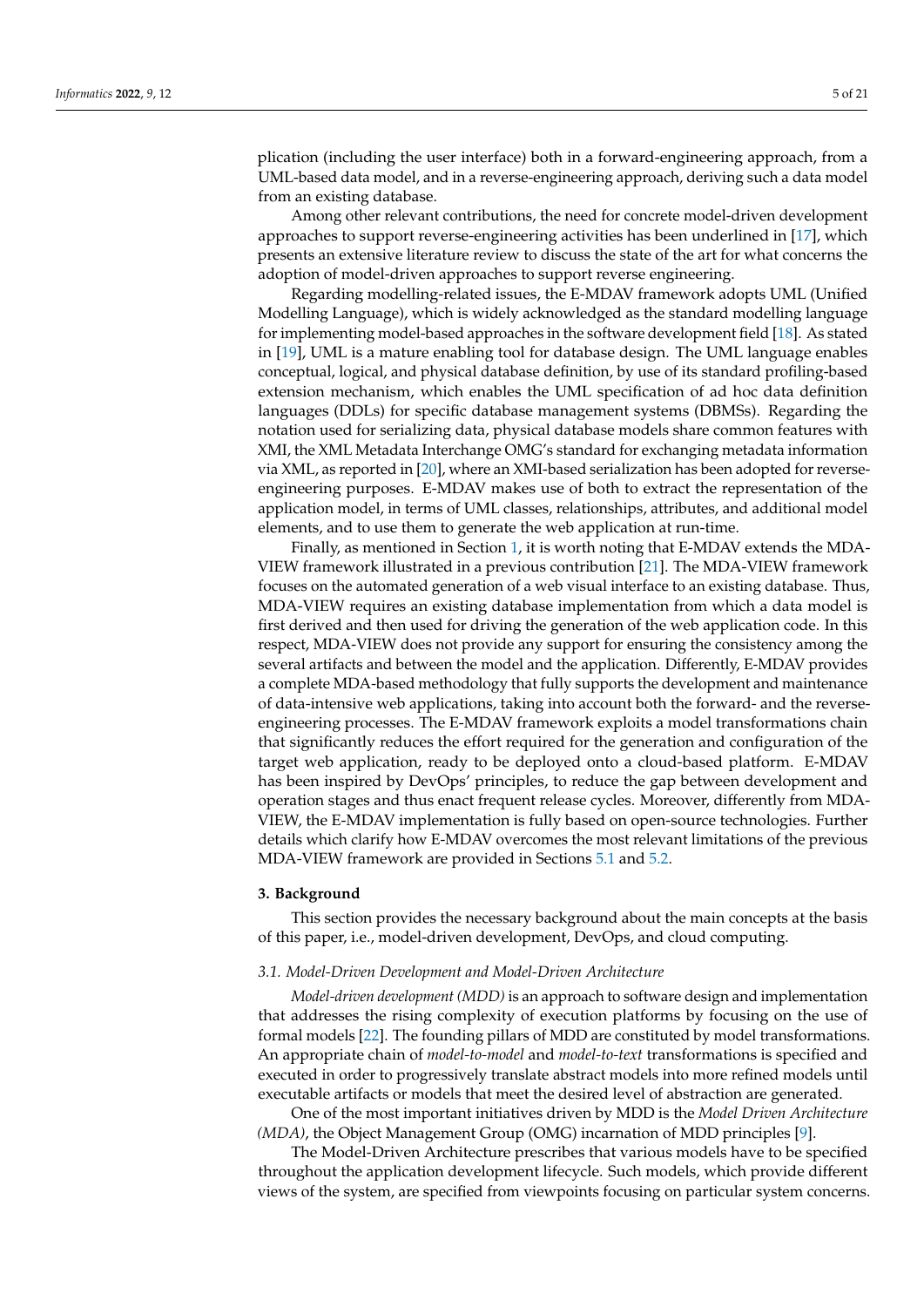plication (including the user interface) both in a forward-engineering approach, from a UML-based data model, and in a reverse-engineering approach, deriving such a data model from an existing database.

Among other relevant contributions, the need for concrete model-driven development approaches to support reverse-engineering activities has been underlined in [\[17\]](#page-19-12), which presents an extensive literature review to discuss the state of the art for what concerns the adoption of model-driven approaches to support reverse engineering.

Regarding modelling-related issues, the E-MDAV framework adopts UML (Unified Modelling Language), which is widely acknowledged as the standard modelling language for implementing model-based approaches in the software development field [\[18\]](#page-19-13). As stated in [\[19\]](#page-19-14), UML is a mature enabling tool for database design. The UML language enables conceptual, logical, and physical database definition, by use of its standard profiling-based extension mechanism, which enables the UML specification of ad hoc data definition languages (DDLs) for specific database management systems (DBMSs). Regarding the notation used for serializing data, physical database models share common features with XMI, the XML Metadata Interchange OMG's standard for exchanging metadata information via XML, as reported in [\[20\]](#page-19-15), where an XMI-based serialization has been adopted for reverseengineering purposes. E-MDAV makes use of both to extract the representation of the application model, in terms of UML classes, relationships, attributes, and additional model elements, and to use them to generate the web application at run-time.

Finally, as mentioned in Section [1,](#page-0-0) it is worth noting that E-MDAV extends the MDA-VIEW framework illustrated in a previous contribution [\[21\]](#page-19-16). The MDA-VIEW framework focuses on the automated generation of a web visual interface to an existing database. Thus, MDA-VIEW requires an existing database implementation from which a data model is first derived and then used for driving the generation of the web application code. In this respect, MDA-VIEW does not provide any support for ensuring the consistency among the several artifacts and between the model and the application. Differently, E-MDAV provides a complete MDA-based methodology that fully supports the development and maintenance of data-intensive web applications, taking into account both the forward- and the reverseengineering processes. The E-MDAV framework exploits a model transformations chain that significantly reduces the effort required for the generation and configuration of the target web application, ready to be deployed onto a cloud-based platform. E-MDAV has been inspired by DevOps' principles, to reduce the gap between development and operation stages and thus enact frequent release cycles. Moreover, differently from MDA-VIEW, the E-MDAV implementation is fully based on open-source technologies. Further details which clarify how E-MDAV overcomes the most relevant limitations of the previous MDA-VIEW framework are provided in Sections [5.1](#page-8-1) and [5.2.](#page-9-0)

# <span id="page-4-0"></span>**3. Background**

This section provides the necessary background about the main concepts at the basis of this paper, i.e., model-driven development, DevOps, and cloud computing.

#### *3.1. Model-Driven Development and Model-Driven Architecture*

*Model-driven development (MDD)* is an approach to software design and implementation that addresses the rising complexity of execution platforms by focusing on the use of formal models [\[22\]](#page-19-17). The founding pillars of MDD are constituted by model transformations. An appropriate chain of *model-to-model* and *model-to-text* transformations is specified and executed in order to progressively translate abstract models into more refined models until executable artifacts or models that meet the desired level of abstraction are generated.

One of the most important initiatives driven by MDD is the *Model Driven Architecture (MDA)*, the Object Management Group (OMG) incarnation of MDD principles [\[9\]](#page-19-4).

The Model-Driven Architecture prescribes that various models have to be specified throughout the application development lifecycle. Such models, which provide different views of the system, are specified from viewpoints focusing on particular system concerns.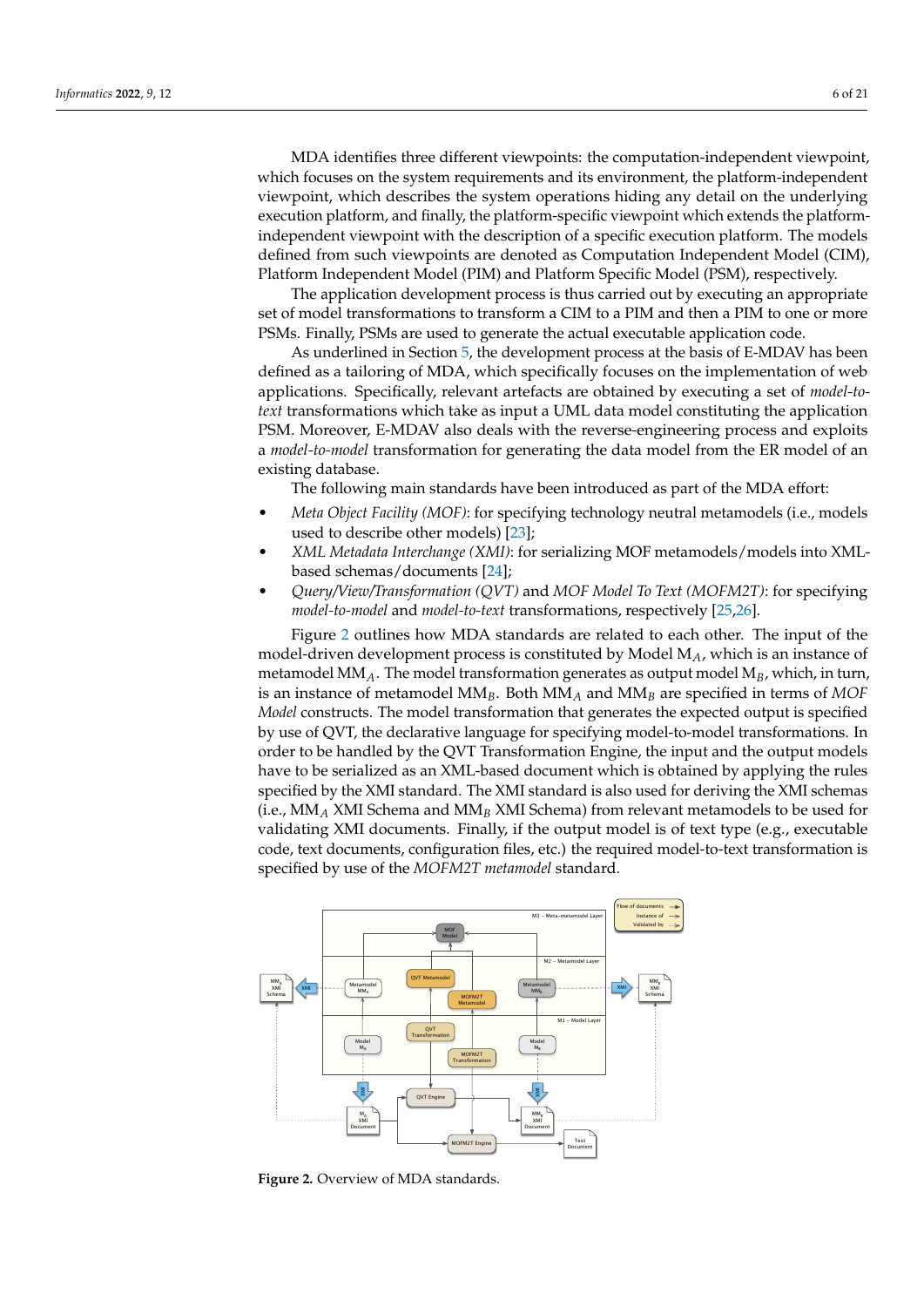MDA identifies three different viewpoints: the computation-independent viewpoint, which focuses on the system requirements and its environment, the platform-independent viewpoint, which describes the system operations hiding any detail on the underlying execution platform, and finally, the platform-specific viewpoint which extends the platformindependent viewpoint with the description of a specific execution platform. The models defined from such viewpoints are denoted as Computation Independent Model (CIM), Platform Independent Model (PIM) and Platform Specific Model (PSM), respectively.

The application development process is thus carried out by executing an appropriate set of model transformations to transform a CIM to a PIM and then a PIM to one or more PSMs. Finally, PSMs are used to generate the actual executable application code.

As underlined in Section [5,](#page-8-0) the development process at the basis of E-MDAV has been defined as a tailoring of MDA, which specifically focuses on the implementation of web applications. Specifically, relevant artefacts are obtained by executing a set of *model-totext* transformations which take as input a UML data model constituting the application PSM. Moreover, E-MDAV also deals with the reverse-engineering process and exploits a *model-to-model* transformation for generating the data model from the ER model of an existing database.

The following main standards have been introduced as part of the MDA effort:

- *Meta Object Facility (MOF)*: for specifying technology neutral metamodels (i.e., models used to describe other models) [\[23\]](#page-19-18);
- *XML Metadata Interchange (XMI)*: for serializing MOF metamodels/models into XMLbased schemas/documents [\[24\]](#page-19-19);
- *Query/View/Transformation (QVT)* and *MOF Model To Text (MOFM2T)*: for specifying *model-to-model* and *model-to-text* transformations, respectively [\[25](#page-19-20)[,26\]](#page-19-21).

Figure [2](#page-5-0) outlines how MDA standards are related to each other. The input of the model-driven development process is constituted by Model M*A*, which is an instance of metamodel MM*A*. The model transformation generates as output model M*B*, which, in turn, is an instance of metamodel MM*B*. Both MM*<sup>A</sup>* and MM*<sup>B</sup>* are specified in terms of *MOF Model* constructs. The model transformation that generates the expected output is specified by use of QVT, the declarative language for specifying model-to-model transformations. In order to be handled by the QVT Transformation Engine, the input and the output models have to be serialized as an XML-based document which is obtained by applying the rules specified by the XMI standard. The XMI standard is also used for deriving the XMI schemas (i.e., MM*<sup>A</sup>* XMI Schema and MM*<sup>B</sup>* XMI Schema) from relevant metamodels to be used for validating XMI documents. Finally, if the output model is of text type (e.g., executable code, text documents, configuration files, etc.) the required model-to-text transformation is specified by use of the *MOFM2T metamodel* standard.

<span id="page-5-0"></span>

**Figure 2.** Overview of MDA standards.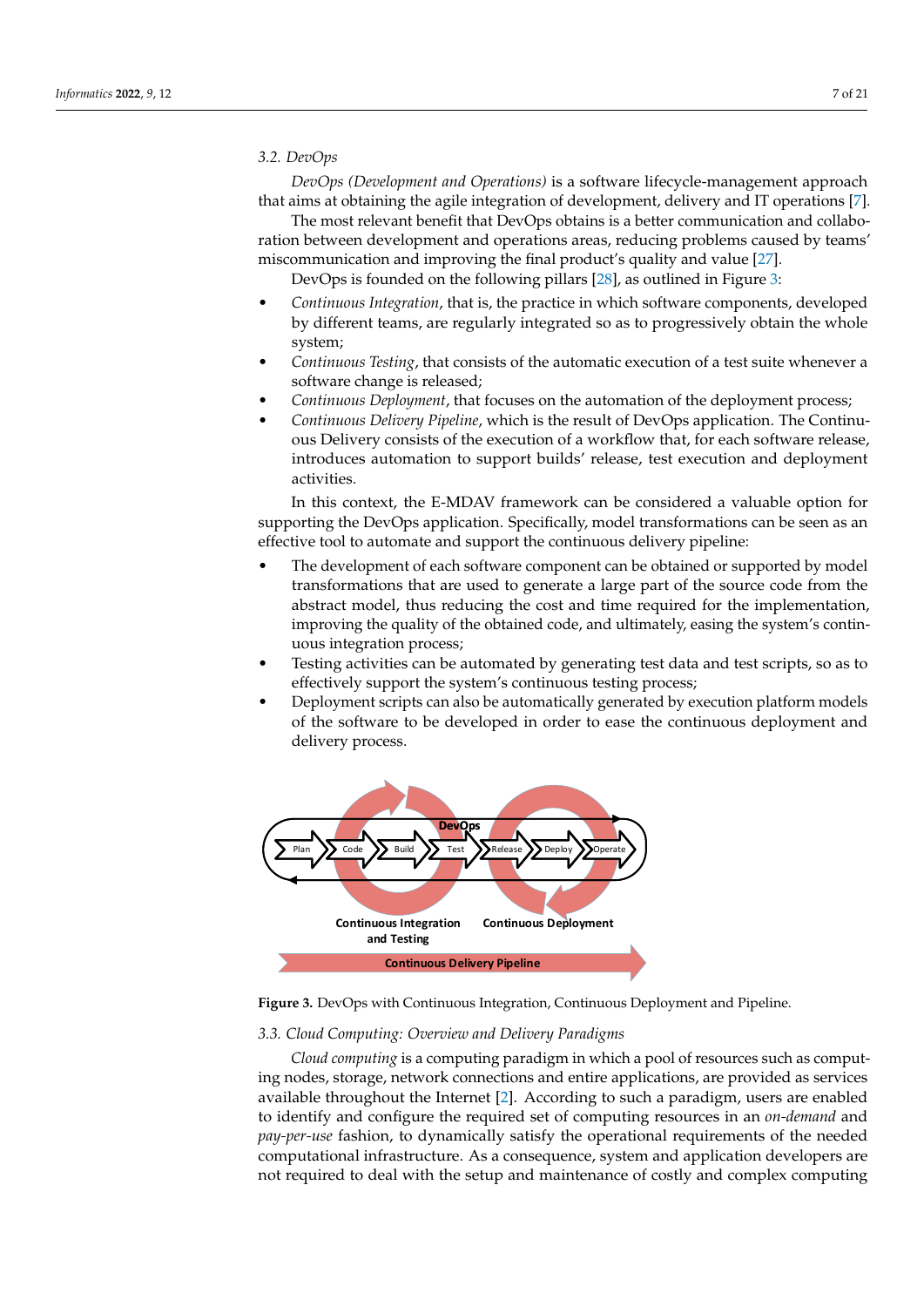## *3.2. DevOps*

*DevOps (Development and Operations)* is a software lifecycle-management approach that aims at obtaining the agile integration of development, delivery and IT operations [\[7\]](#page-19-2).

The most relevant benefit that DevOps obtains is a better communication and collaboration between development and operations areas, reducing problems caused by teams' miscommunication and improving the final product's quality and value [\[27\]](#page-19-22).

DevOps is founded on the following pillars [\[28\]](#page-19-23), as outlined in Figure [3:](#page-6-0)

- *Continuous Integration*, that is, the practice in which software components, developed by different teams, are regularly integrated so as to progressively obtain the whole system;
- *Continuous Testing*, that consists of the automatic execution of a test suite whenever a software change is released;
- *Continuous Deployment*, that focuses on the automation of the deployment process;
- *Continuous Delivery Pipeline*, which is the result of DevOps application. The Continuous Delivery consists of the execution of a workflow that, for each software release, introduces automation to support builds' release, test execution and deployment activities.

In this context, the E-MDAV framework can be considered a valuable option for supporting the DevOps application. Specifically, model transformations can be seen as an effective tool to automate and support the continuous delivery pipeline:

- The development of each software component can be obtained or supported by model transformations that are used to generate a large part of the source code from the abstract model, thus reducing the cost and time required for the implementation, improving the quality of the obtained code, and ultimately, easing the system's continuous integration process;
- Testing activities can be automated by generating test data and test scripts, so as to effectively support the system's continuous testing process;
- Deployment scripts can also be automatically generated by execution platform models of the software to be developed in order to ease the continuous deployment and delivery process.

<span id="page-6-0"></span>

**Figure 3.** DevOps with Continuous Integration, Continuous Deployment and Pipeline.

## *3.3. Cloud Computing: Overview and Delivery Paradigms*

*Cloud computing* is a computing paradigm in which a pool of resources such as computing nodes, storage, network connections and entire applications, are provided as services available throughout the Internet [\[2\]](#page-18-1). According to such a paradigm, users are enabled to identify and configure the required set of computing resources in an *on-demand* and *pay-per-use* fashion, to dynamically satisfy the operational requirements of the needed computational infrastructure. As a consequence, system and application developers are not required to deal with the setup and maintenance of costly and complex computing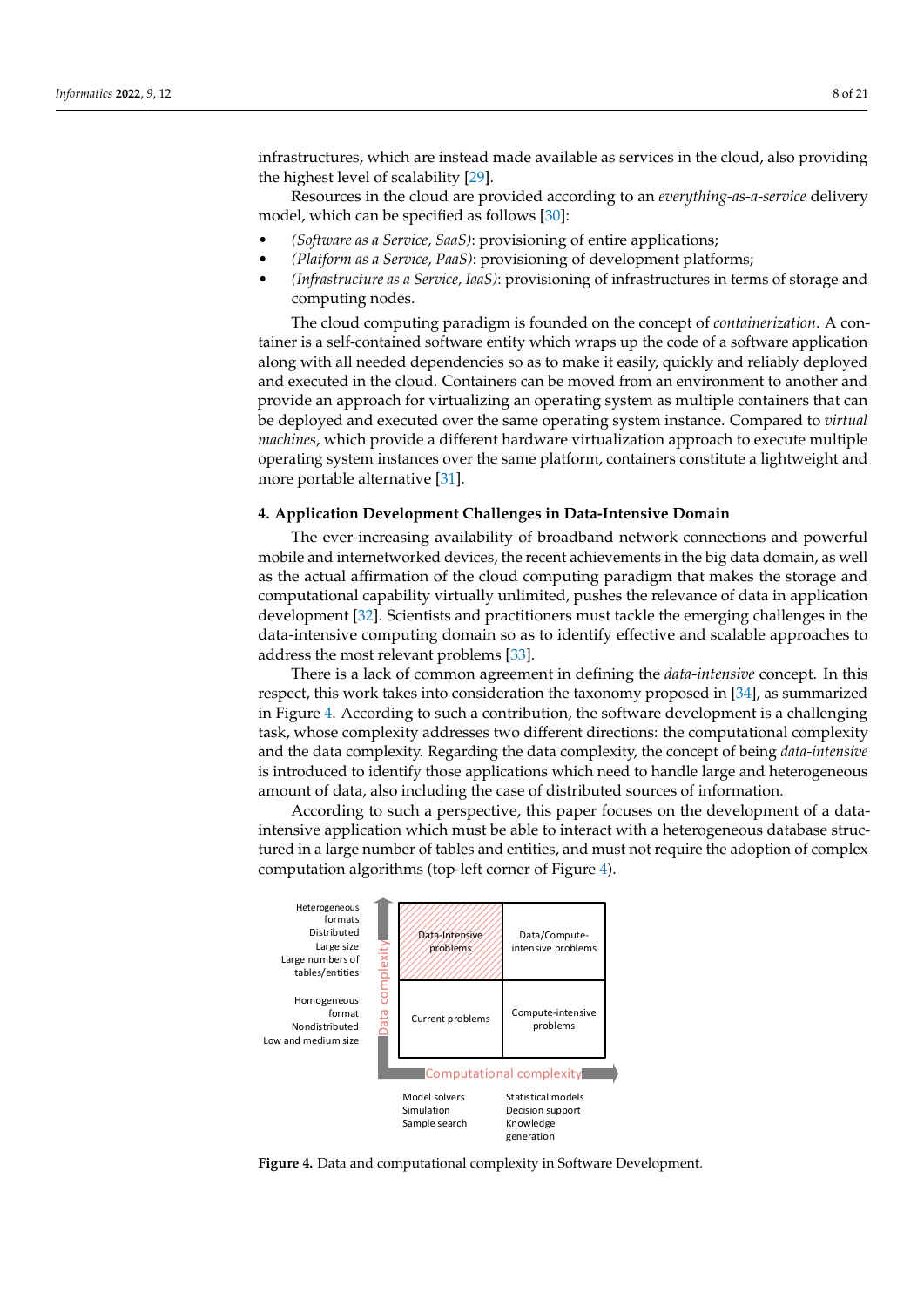infrastructures, which are instead made available as services in the cloud, also providing the highest level of scalability [\[29\]](#page-19-24).

Resources in the cloud are provided according to an *everything-as-a-service* delivery model, which can be specified as follows [\[30\]](#page-19-25):

- *(Software as a Service, SaaS)*: provisioning of entire applications;
- *(Platform as a Service, PaaS)*: provisioning of development platforms;
- *(Infrastructure as a Service, IaaS)*: provisioning of infrastructures in terms of storage and computing nodes.

The cloud computing paradigm is founded on the concept of *containerization*. A container is a self-contained software entity which wraps up the code of a software application along with all needed dependencies so as to make it easily, quickly and reliably deployed and executed in the cloud. Containers can be moved from an environment to another and provide an approach for virtualizing an operating system as multiple containers that can be deployed and executed over the same operating system instance. Compared to *virtual machines*, which provide a different hardware virtualization approach to execute multiple operating system instances over the same platform, containers constitute a lightweight and more portable alternative [\[31\]](#page-19-26).

## <span id="page-7-0"></span>**4. Application Development Challenges in Data-Intensive Domain**

The ever-increasing availability of broadband network connections and powerful mobile and internetworked devices, the recent achievements in the big data domain, as well as the actual affirmation of the cloud computing paradigm that makes the storage and computational capability virtually unlimited, pushes the relevance of data in application development [\[32\]](#page-19-27). Scientists and practitioners must tackle the emerging challenges in the data-intensive computing domain so as to identify effective and scalable approaches to address the most relevant problems [\[33\]](#page-20-0).

There is a lack of common agreement in defining the *data-intensive* concept. In this respect, this work takes into consideration the taxonomy proposed in [\[34\]](#page-20-1), as summarized in Figure [4.](#page-7-1) According to such a contribution, the software development is a challenging task, whose complexity addresses two different directions: the computational complexity and the data complexity. Regarding the data complexity, the concept of being *data-intensive* is introduced to identify those applications which need to handle large and heterogeneous amount of data, also including the case of distributed sources of information.

According to such a perspective, this paper focuses on the development of a dataintensive application which must be able to interact with a heterogeneous database structured in a large number of tables and entities, and must not require the adoption of complex computation algorithms (top-left corner of Figure [4\)](#page-7-1).

<span id="page-7-1"></span>

**Figure 4.** Data and computational complexity in Software Development.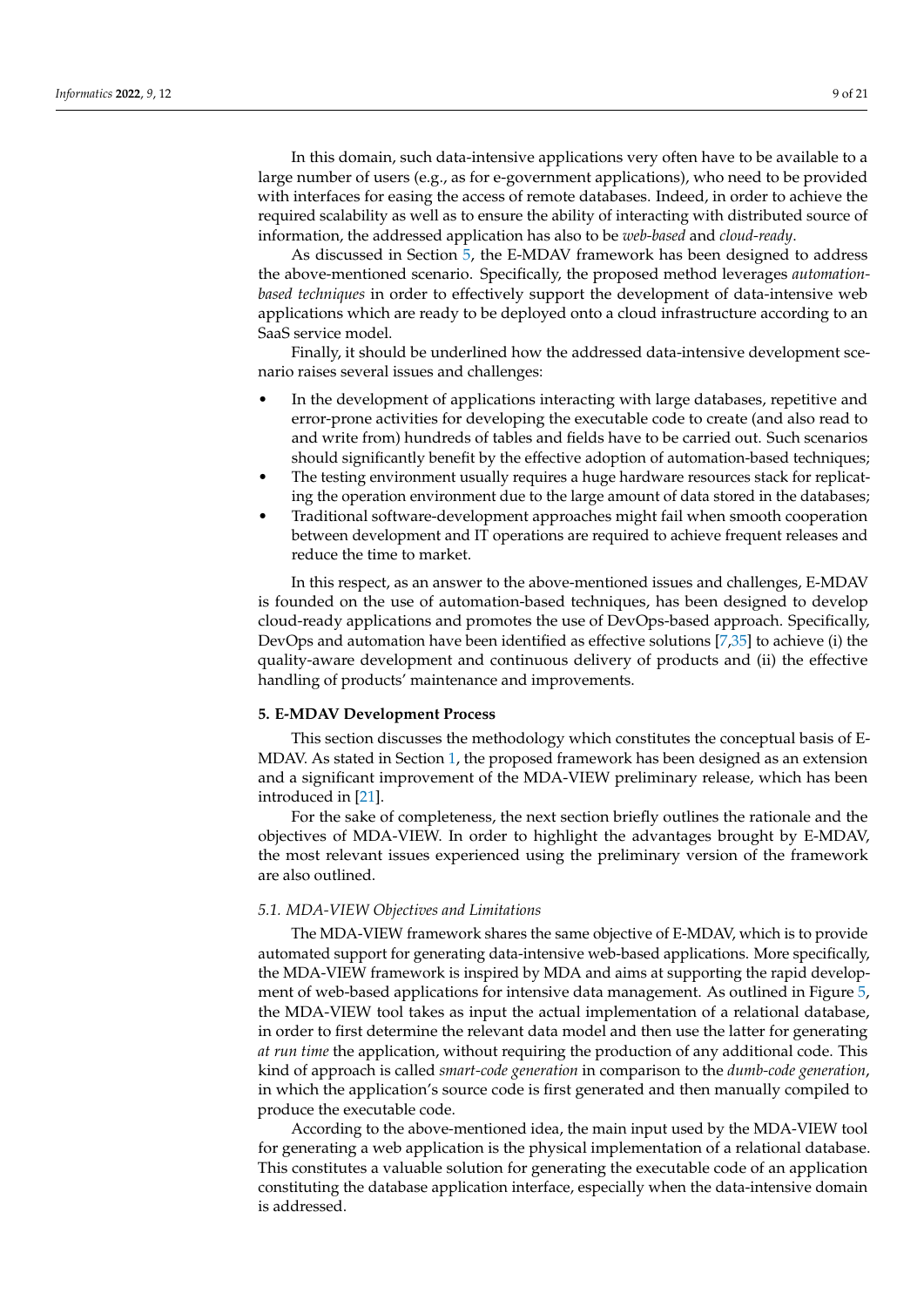In this domain, such data-intensive applications very often have to be available to a large number of users (e.g., as for e-government applications), who need to be provided with interfaces for easing the access of remote databases. Indeed, in order to achieve the required scalability as well as to ensure the ability of interacting with distributed source of information, the addressed application has also to be *web-based* and *cloud-ready*.

As discussed in Section [5,](#page-8-0) the E-MDAV framework has been designed to address the above-mentioned scenario. Specifically, the proposed method leverages *automationbased techniques* in order to effectively support the development of data-intensive web applications which are ready to be deployed onto a cloud infrastructure according to an SaaS service model.

Finally, it should be underlined how the addressed data-intensive development scenario raises several issues and challenges:

- In the development of applications interacting with large databases, repetitive and error-prone activities for developing the executable code to create (and also read to and write from) hundreds of tables and fields have to be carried out. Such scenarios should significantly benefit by the effective adoption of automation-based techniques;
- The testing environment usually requires a huge hardware resources stack for replicating the operation environment due to the large amount of data stored in the databases;
- Traditional software-development approaches might fail when smooth cooperation between development and IT operations are required to achieve frequent releases and reduce the time to market.

In this respect, as an answer to the above-mentioned issues and challenges, E-MDAV is founded on the use of automation-based techniques, has been designed to develop cloud-ready applications and promotes the use of DevOps-based approach. Specifically, DevOps and automation have been identified as effective solutions [\[7](#page-19-2)[,35\]](#page-20-2) to achieve (i) the quality-aware development and continuous delivery of products and (ii) the effective handling of products' maintenance and improvements.

## <span id="page-8-0"></span>**5. E-MDAV Development Process**

This section discusses the methodology which constitutes the conceptual basis of E-MDAV. As stated in Section [1,](#page-0-0) the proposed framework has been designed as an extension and a significant improvement of the MDA-VIEW preliminary release, which has been introduced in [\[21\]](#page-19-16).

For the sake of completeness, the next section briefly outlines the rationale and the objectives of MDA-VIEW. In order to highlight the advantages brought by E-MDAV, the most relevant issues experienced using the preliminary version of the framework are also outlined.

# <span id="page-8-1"></span>*5.1. MDA-VIEW Objectives and Limitations*

The MDA-VIEW framework shares the same objective of E-MDAV, which is to provide automated support for generating data-intensive web-based applications. More specifically, the MDA-VIEW framework is inspired by MDA and aims at supporting the rapid development of web-based applications for intensive data management. As outlined in Figure [5,](#page-9-1) the MDA-VIEW tool takes as input the actual implementation of a relational database, in order to first determine the relevant data model and then use the latter for generating *at run time* the application, without requiring the production of any additional code. This kind of approach is called *smart-code generation* in comparison to the *dumb-code generation*, in which the application's source code is first generated and then manually compiled to produce the executable code.

According to the above-mentioned idea, the main input used by the MDA-VIEW tool for generating a web application is the physical implementation of a relational database. This constitutes a valuable solution for generating the executable code of an application constituting the database application interface, especially when the data-intensive domain is addressed.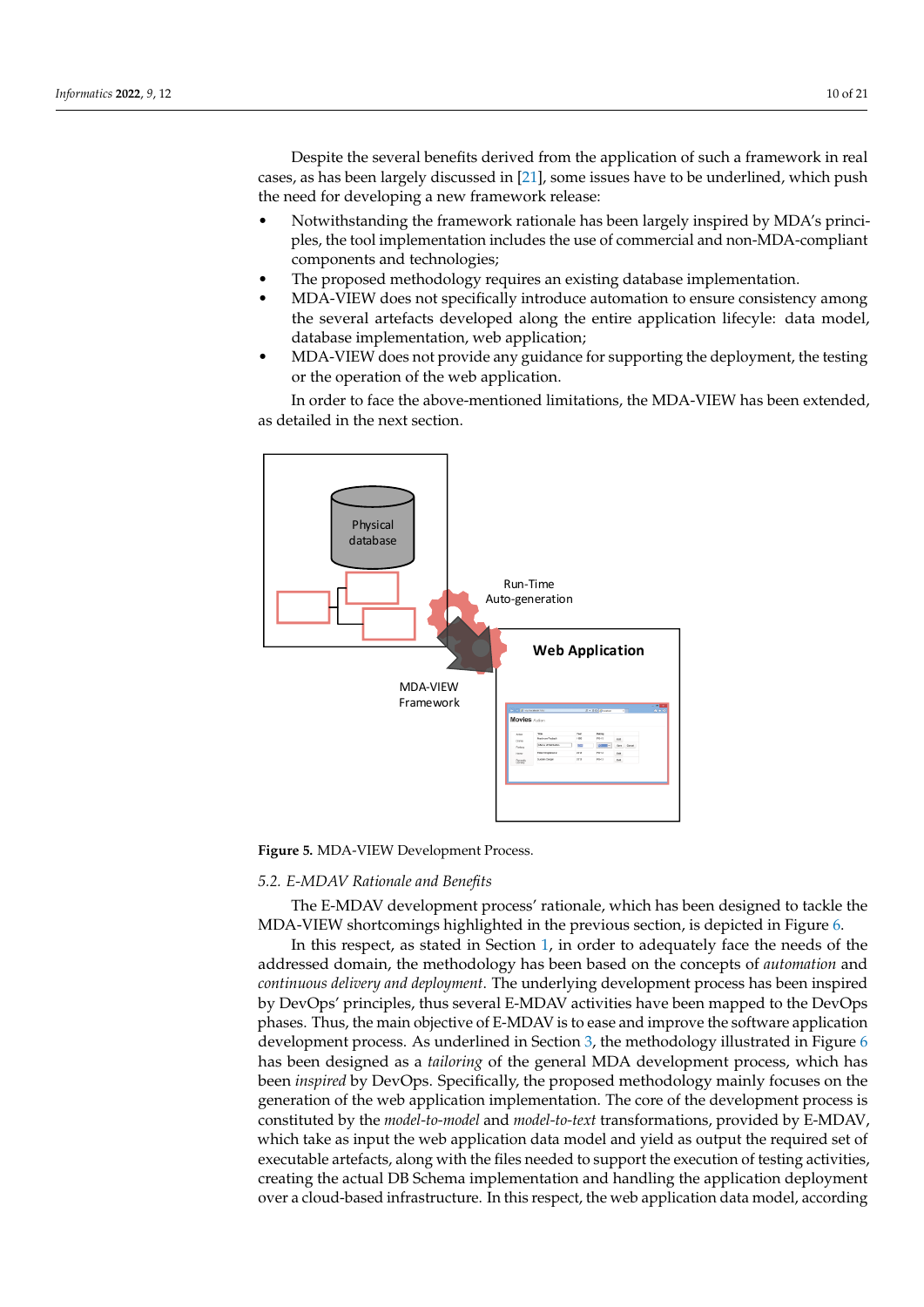Despite the several benefits derived from the application of such a framework in real cases, as has been largely discussed in [\[21\]](#page-19-16), some issues have to be underlined, which push the need for developing a new framework release:

- Notwithstanding the framework rationale has been largely inspired by MDA's principles, the tool implementation includes the use of commercial and non-MDA-compliant components and technologies;
- The proposed methodology requires an existing database implementation.
- MDA-VIEW does not specifically introduce automation to ensure consistency among the several artefacts developed along the entire application lifecyle: data model, database implementation, web application;
- MDA-VIEW does not provide any guidance for supporting the deployment, the testing or the operation of the web application.

In order to face the above-mentioned limitations, the MDA-VIEW has been extended, as detailed in the next section.

<span id="page-9-1"></span>

**Figure 5.** MDA-VIEW Development Process.

## <span id="page-9-0"></span>*5.2. E-MDAV Rationale and Benefits*

The E-MDAV development process' rationale, which has been designed to tackle the MDA-VIEW shortcomings highlighted in the previous section, is depicted in Figure [6.](#page-10-0)

In this respect, as stated in Section [1,](#page-0-0) in order to adequately face the needs of the addressed domain, the methodology has been based on the concepts of *automation* and *continuous delivery and deployment*. The underlying development process has been inspired by DevOps' principles, thus several E-MDAV activities have been mapped to the DevOps phases. Thus, the main objective of E-MDAV is to ease and improve the software application development process. As underlined in Section [3,](#page-4-0) the methodology illustrated in Figure [6](#page-10-0) has been designed as a *tailoring* of the general MDA development process, which has been *inspired* by DevOps. Specifically, the proposed methodology mainly focuses on the generation of the web application implementation. The core of the development process is constituted by the *model-to-model* and *model-to-text* transformations, provided by E-MDAV, which take as input the web application data model and yield as output the required set of executable artefacts, along with the files needed to support the execution of testing activities, creating the actual DB Schema implementation and handling the application deployment over a cloud-based infrastructure. In this respect, the web application data model, according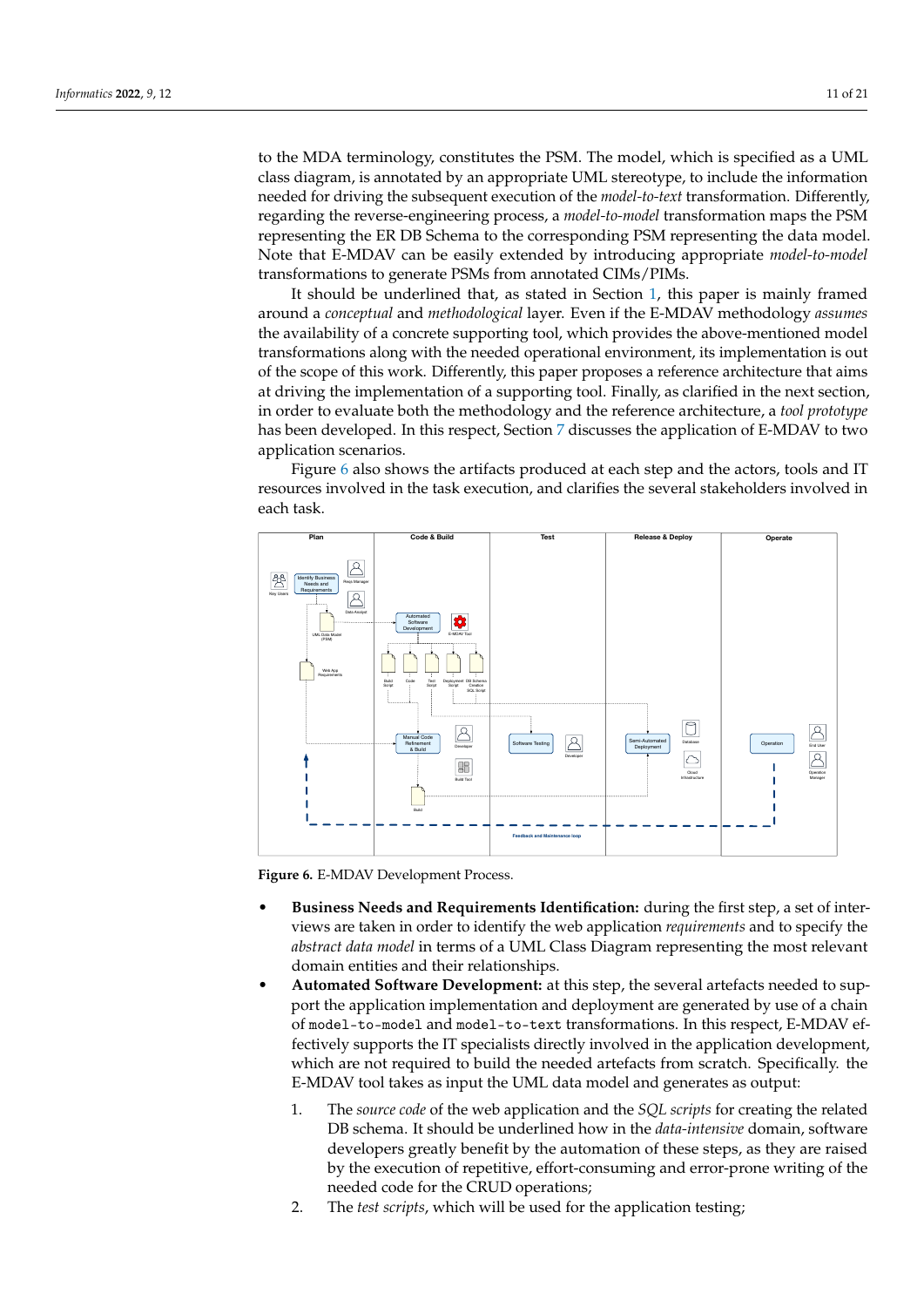to the MDA terminology, constitutes the PSM. The model, which is specified as a UML class diagram, is annotated by an appropriate UML stereotype, to include the information needed for driving the subsequent execution of the *model-to-text* transformation. Differently, regarding the reverse-engineering process, a *model-to-model* transformation maps the PSM representing the ER DB Schema to the corresponding PSM representing the data model. Note that E-MDAV can be easily extended by introducing appropriate *model-to-model* transformations to generate PSMs from annotated CIMs/PIMs.

It should be underlined that, as stated in Section [1,](#page-0-0) this paper is mainly framed around a *conceptual* and *methodological* layer. Even if the E-MDAV methodology *assumes* the availability of a concrete supporting tool, which provides the above-mentioned model transformations along with the needed operational environment, its implementation is out of the scope of this work. Differently, this paper proposes a reference architecture that aims at driving the implementation of a supporting tool. Finally, as clarified in the next section, in order to evaluate both the methodology and the reference architecture, a *tool prototype* has been developed. In this respect, Section [7](#page-15-0) discusses the application of E-MDAV to two application scenarios.

Figure [6](#page-10-0) also shows the artifacts produced at each step and the actors, tools and IT resources involved in the task execution, and clarifies the several stakeholders involved in each task.

<span id="page-10-0"></span>

**Figure 6.** E-MDAV Development Process.

- **Business Needs and Requirements Identification:** during the first step, a set of interviews are taken in order to identify the web application *requirements* and to specify the *abstract data model* in terms of a UML Class Diagram representing the most relevant domain entities and their relationships.
- **Automated Software Development:** at this step, the several artefacts needed to support the application implementation and deployment are generated by use of a chain of model-to-model and model-to-text transformations. In this respect, E-MDAV effectively supports the IT specialists directly involved in the application development, which are not required to build the needed artefacts from scratch. Specifically. the E-MDAV tool takes as input the UML data model and generates as output:
	- 1. The *source code* of the web application and the *SQL scripts* for creating the related DB schema. It should be underlined how in the *data-intensive* domain, software developers greatly benefit by the automation of these steps, as they are raised by the execution of repetitive, effort-consuming and error-prone writing of the needed code for the CRUD operations;
	- 2. The *test scripts*, which will be used for the application testing;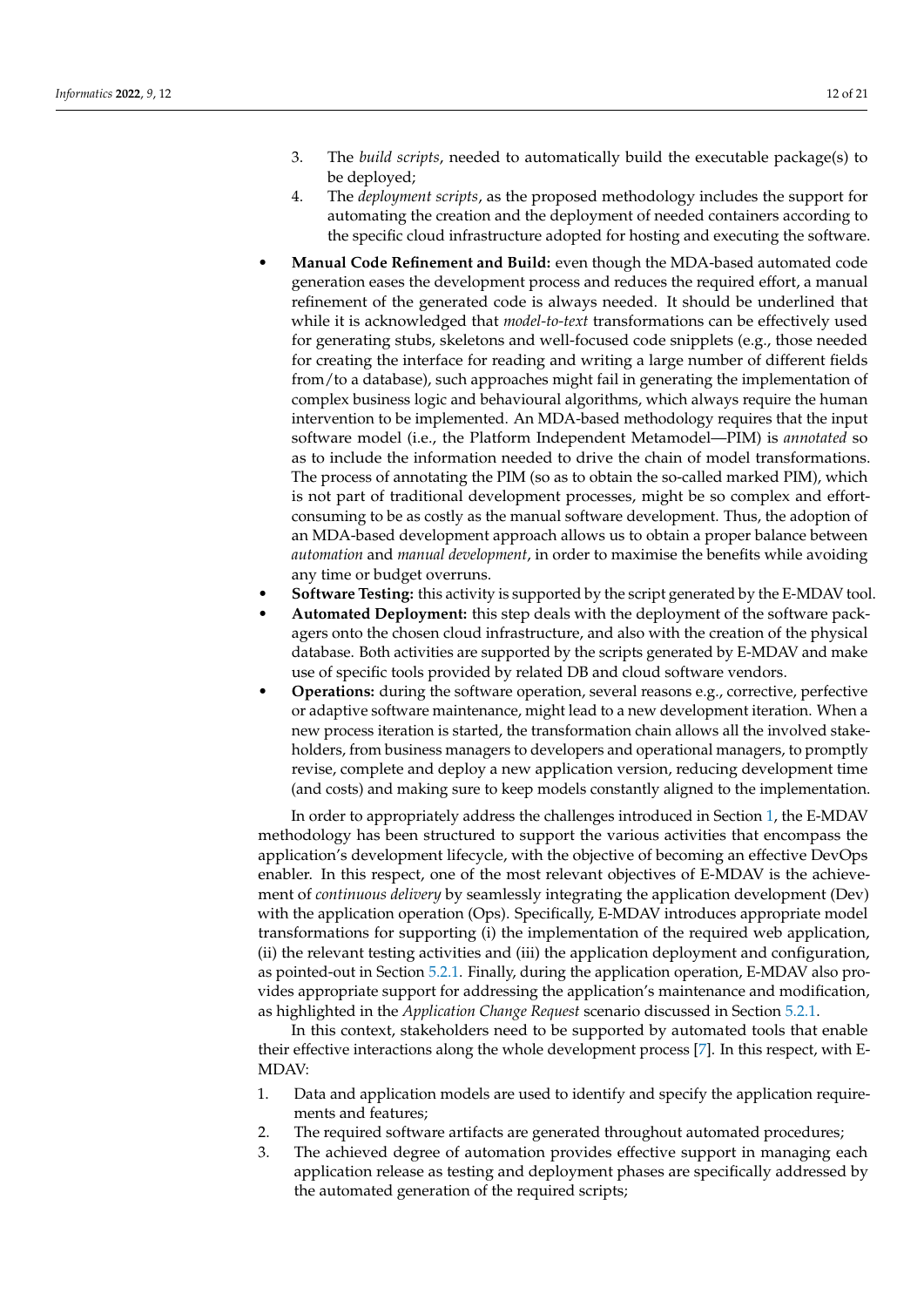- 3. The *build scripts*, needed to automatically build the executable package(s) to be deployed;
- 4. The *deployment scripts*, as the proposed methodology includes the support for automating the creation and the deployment of needed containers according to the specific cloud infrastructure adopted for hosting and executing the software.
- **Manual Code Refinement and Build:** even though the MDA-based automated code generation eases the development process and reduces the required effort, a manual refinement of the generated code is always needed. It should be underlined that while it is acknowledged that *model-to-text* transformations can be effectively used for generating stubs, skeletons and well-focused code snipplets (e.g., those needed for creating the interface for reading and writing a large number of different fields from/to a database), such approaches might fail in generating the implementation of complex business logic and behavioural algorithms, which always require the human intervention to be implemented. An MDA-based methodology requires that the input software model (i.e., the Platform Independent Metamodel—PIM) is *annotated* so as to include the information needed to drive the chain of model transformations. The process of annotating the PIM (so as to obtain the so-called marked PIM), which is not part of traditional development processes, might be so complex and effortconsuming to be as costly as the manual software development. Thus, the adoption of an MDA-based development approach allows us to obtain a proper balance between *automation* and *manual development*, in order to maximise the benefits while avoiding any time or budget overruns.
- **Software Testing:** this activity is supported by the script generated by the E-MDAV tool.
- **Automated Deployment:** this step deals with the deployment of the software packagers onto the chosen cloud infrastructure, and also with the creation of the physical database. Both activities are supported by the scripts generated by E-MDAV and make use of specific tools provided by related DB and cloud software vendors.
- **Operations:** during the software operation, several reasons e.g., corrective, perfective or adaptive software maintenance, might lead to a new development iteration. When a new process iteration is started, the transformation chain allows all the involved stakeholders, from business managers to developers and operational managers, to promptly revise, complete and deploy a new application version, reducing development time (and costs) and making sure to keep models constantly aligned to the implementation.

In order to appropriately address the challenges introduced in Section [1,](#page-0-0) the E-MDAV methodology has been structured to support the various activities that encompass the application's development lifecycle, with the objective of becoming an effective DevOps enabler. In this respect, one of the most relevant objectives of E-MDAV is the achievement of *continuous delivery* by seamlessly integrating the application development (Dev) with the application operation (Ops). Specifically, E-MDAV introduces appropriate model transformations for supporting (i) the implementation of the required web application, (ii) the relevant testing activities and (iii) the application deployment and configuration, as pointed-out in Section [5.2.1.](#page-12-0) Finally, during the application operation, E-MDAV also provides appropriate support for addressing the application's maintenance and modification, as highlighted in the *Application Change Request* scenario discussed in Section [5.2.1.](#page-12-0)

In this context, stakeholders need to be supported by automated tools that enable their effective interactions along the whole development process [\[7\]](#page-19-2). In this respect, with E-MDAV:

- 1. Data and application models are used to identify and specify the application requirements and features;
- 2. The required software artifacts are generated throughout automated procedures;
- 3. The achieved degree of automation provides effective support in managing each application release as testing and deployment phases are specifically addressed by the automated generation of the required scripts;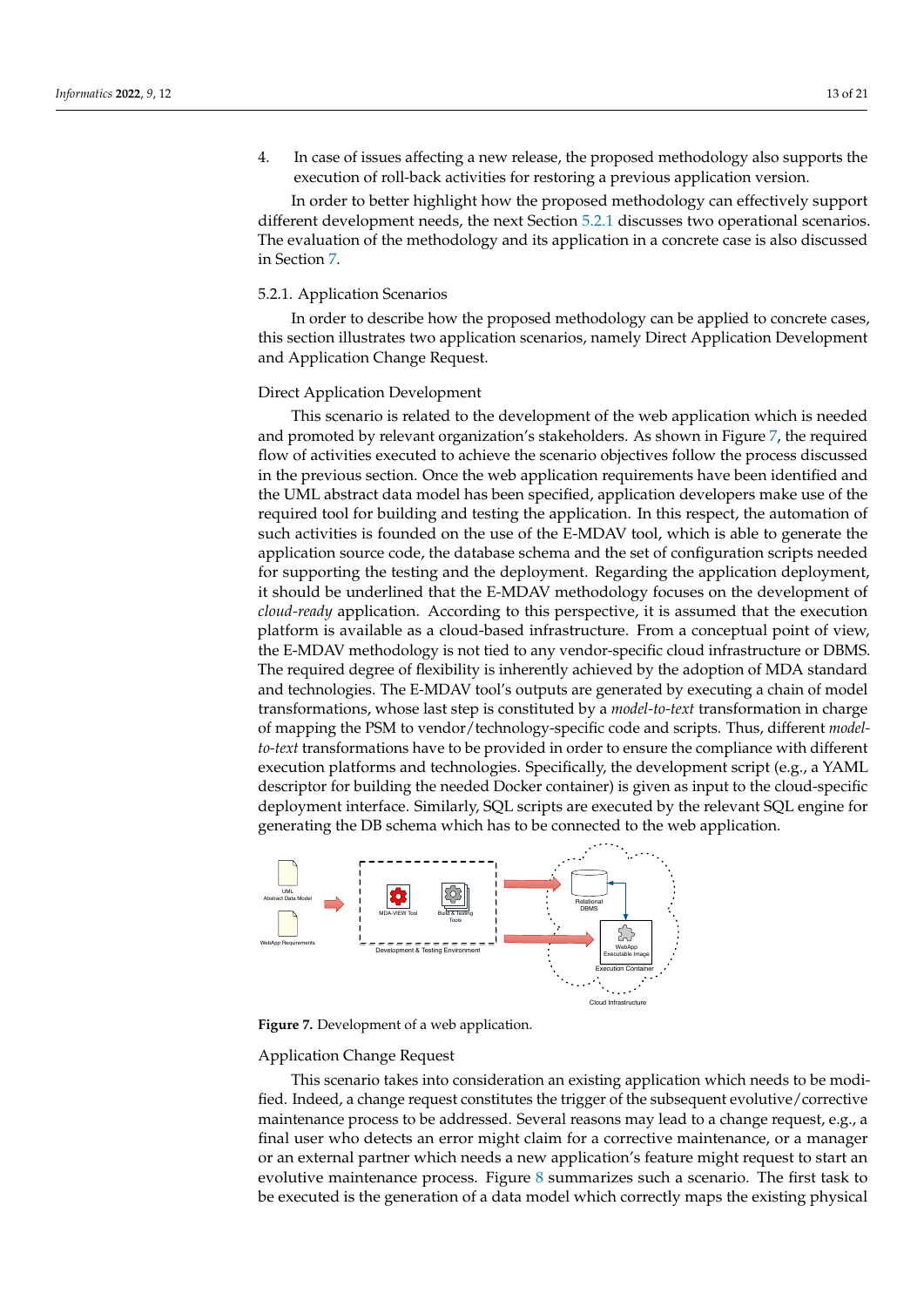4. In case of issues affecting a new release, the proposed methodology also supports the execution of roll-back activities for restoring a previous application version.

In order to better highlight how the proposed methodology can effectively support different development needs, the next Section [5.2.1](#page-12-0) discusses two operational scenarios. The evaluation of the methodology and its application in a concrete case is also discussed in Section [7.](#page-15-0)

# <span id="page-12-0"></span>5.2.1. Application Scenarios

In order to describe how the proposed methodology can be applied to concrete cases, this section illustrates two application scenarios, namely Direct Application Development and Application Change Request.

# Direct Application Development

This scenario is related to the development of the web application which is needed and promoted by relevant organization's stakeholders. As shown in Figure [7,](#page-12-1) the required flow of activities executed to achieve the scenario objectives follow the process discussed in the previous section. Once the web application requirements have been identified and the UML abstract data model has been specified, application developers make use of the required tool for building and testing the application. In this respect, the automation of such activities is founded on the use of the E-MDAV tool, which is able to generate the application source code, the database schema and the set of configuration scripts needed for supporting the testing and the deployment. Regarding the application deployment, it should be underlined that the E-MDAV methodology focuses on the development of *cloud-ready* application. According to this perspective, it is assumed that the execution platform is available as a cloud-based infrastructure. From a conceptual point of view, the E-MDAV methodology is not tied to any vendor-specific cloud infrastructure or DBMS. The required degree of flexibility is inherently achieved by the adoption of MDA standard and technologies. The E-MDAV tool's outputs are generated by executing a chain of model transformations, whose last step is constituted by a *model-to-text* transformation in charge of mapping the PSM to vendor/technology-specific code and scripts. Thus, different *modelto-text* transformations have to be provided in order to ensure the compliance with different execution platforms and technologies. Specifically, the development script (e.g., a YAML descriptor for building the needed Docker container) is given as input to the cloud-specific deployment interface. Similarly, SQL scripts are executed by the relevant SQL engine for generating the DB schema which has to be connected to the web application.

<span id="page-12-1"></span>

**Figure 7.** Development of a web application.

## Application Change Request

This scenario takes into consideration an existing application which needs to be modified. Indeed, a change request constitutes the trigger of the subsequent evolutive/corrective maintenance process to be addressed. Several reasons may lead to a change request, e.g., a final user who detects an error might claim for a corrective maintenance, or a manager or an external partner which needs a new application's feature might request to start an evolutive maintenance process. Figure [8](#page-13-1) summarizes such a scenario. The first task to be executed is the generation of a data model which correctly maps the existing physical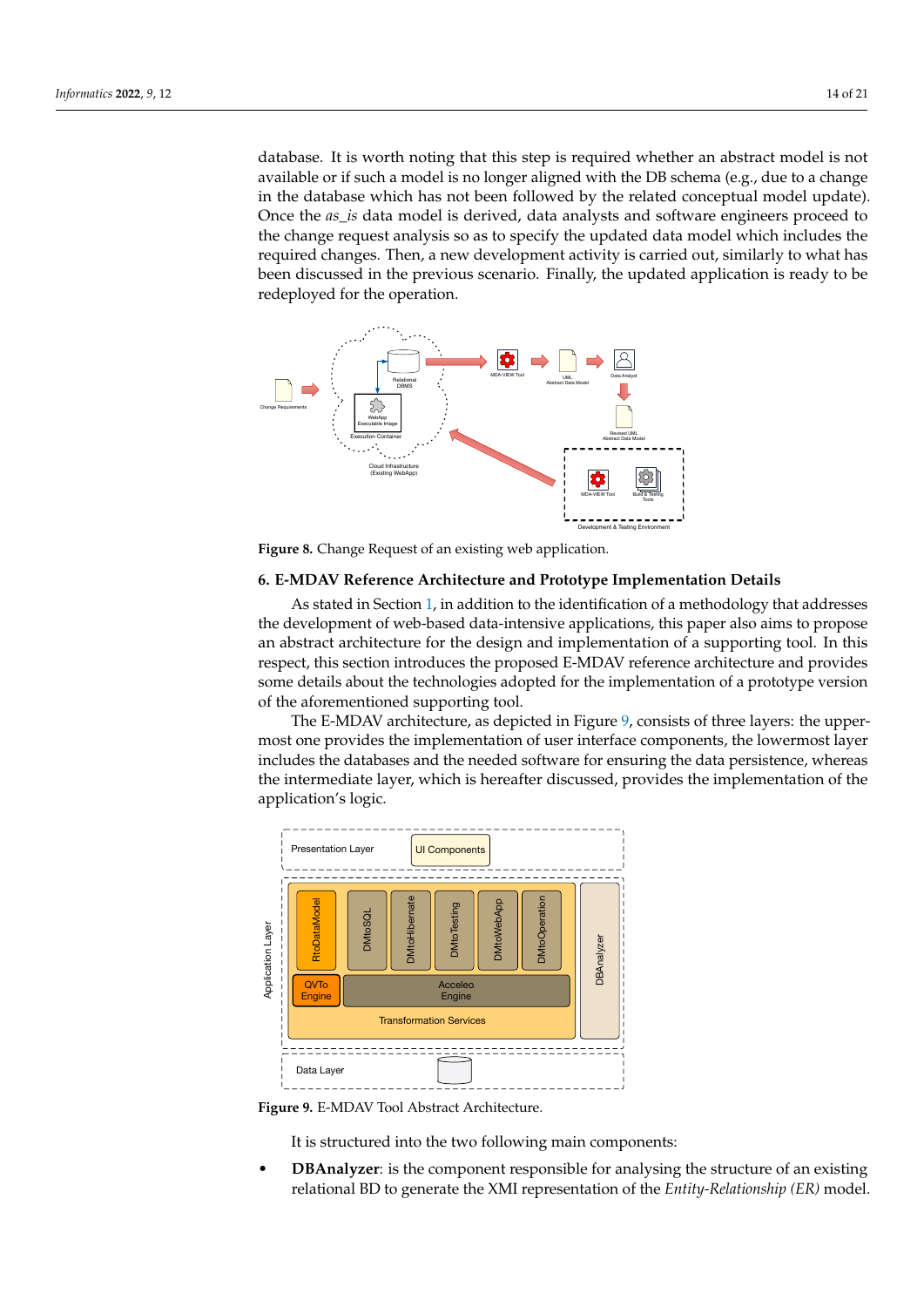database. It is worth noting that this step is required whether an abstract model is not available or if such a model is no longer aligned with the DB schema (e.g., due to a change in the database which has not been followed by the related conceptual model update). Once the *as\_is* data model is derived, data analysts and software engineers proceed to the change request analysis so as to specify the updated data model which includes the required changes. Then, a new development activity is carried out, similarly to what has been discussed in the previous scenario. Finally, the updated application is ready to be redeployed for the operation.

<span id="page-13-1"></span>

**Figure 8.** Change Request of an existing web application.

# <span id="page-13-0"></span>**6. E-MDAV Reference Architecture and Prototype Implementation Details**

As stated in Section [1,](#page-0-0) in addition to the identification of a methodology that addresses the development of web-based data-intensive applications, this paper also aims to propose an abstract architecture for the design and implementation of a supporting tool. In this respect, this section introduces the proposed E-MDAV reference architecture and provides some details about the technologies adopted for the implementation of a prototype version of the aforementioned supporting tool.

The E-MDAV architecture, as depicted in Figure [9,](#page-13-2) consists of three layers: the uppermost one provides the implementation of user interface components, the lowermost layer includes the databases and the needed software for ensuring the data persistence, whereas the intermediate layer, which is hereafter discussed, provides the implementation of the application's logic.

<span id="page-13-2"></span>

**Figure 9.** E-MDAV Tool Abstract Architecture.

It is structured into the two following main components:

• **DBAnalyzer**: is the component responsible for analysing the structure of an existing relational BD to generate the XMI representation of the *Entity-Relationship (ER)* model.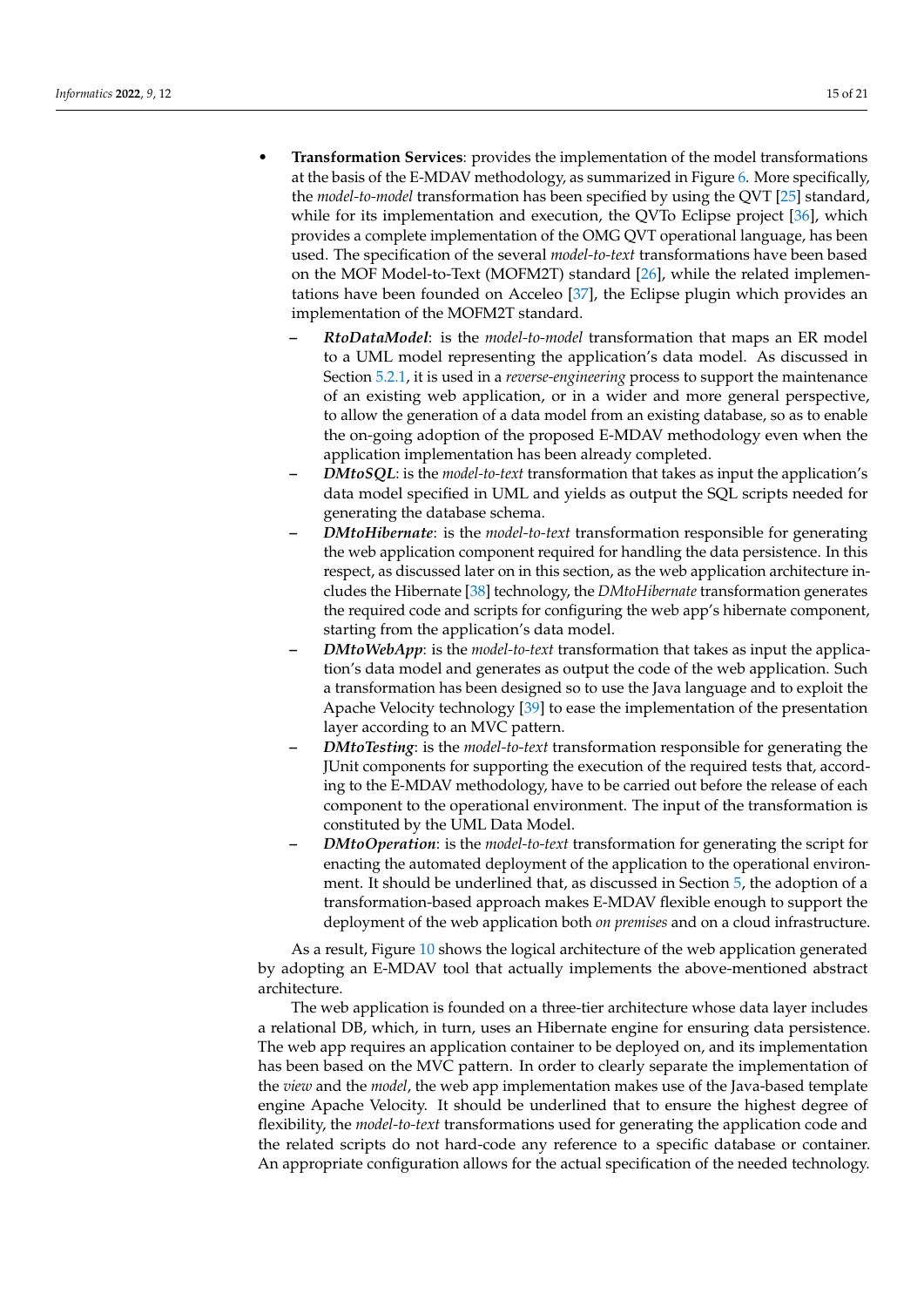- **Transformation Services**: provides the implementation of the model transformations at the basis of the E-MDAV methodology, as summarized in Figure [6.](#page-10-0) More specifically, the *model-to-model* transformation has been specified by using the QVT [\[25\]](#page-19-20) standard, while for its implementation and execution, the QVTo Eclipse project [\[36\]](#page-20-3), which provides a complete implementation of the OMG QVT operational language, has been used. The specification of the several *model-to-text* transformations have been based on the MOF Model-to-Text (MOFM2T) standard [\[26\]](#page-19-21), while the related implementations have been founded on Acceleo [\[37\]](#page-20-4), the Eclipse plugin which provides an implementation of the MOFM2T standard.
	- **–** *RtoDataModel*: is the *model-to-model* transformation that maps an ER model to a UML model representing the application's data model. As discussed in Section [5.2.1,](#page-12-0) it is used in a *reverse-engineering* process to support the maintenance of an existing web application, or in a wider and more general perspective, to allow the generation of a data model from an existing database, so as to enable the on-going adoption of the proposed E-MDAV methodology even when the application implementation has been already completed.
	- **–** *DMtoSQL*: is the *model-to-text* transformation that takes as input the application's data model specified in UML and yields as output the SQL scripts needed for generating the database schema.
	- **–** *DMtoHibernate*: is the *model-to-text* transformation responsible for generating the web application component required for handling the data persistence. In this respect, as discussed later on in this section, as the web application architecture includes the Hibernate [\[38\]](#page-20-5) technology, the *DMtoHibernate* transformation generates the required code and scripts for configuring the web app's hibernate component, starting from the application's data model.
	- **–** *DMtoWebApp*: is the *model-to-text* transformation that takes as input the application's data model and generates as output the code of the web application. Such a transformation has been designed so to use the Java language and to exploit the Apache Velocity technology [\[39\]](#page-20-6) to ease the implementation of the presentation layer according to an MVC pattern.
	- **–** *DMtoTesting*: is the *model-to-text* transformation responsible for generating the JUnit components for supporting the execution of the required tests that, according to the E-MDAV methodology, have to be carried out before the release of each component to the operational environment. The input of the transformation is constituted by the UML Data Model.
	- **–** *DMtoOperation*: is the *model-to-text* transformation for generating the script for enacting the automated deployment of the application to the operational environment. It should be underlined that, as discussed in Section [5,](#page-8-0) the adoption of a transformation-based approach makes E-MDAV flexible enough to support the deployment of the web application both *on premises* and on a cloud infrastructure.

As a result, Figure [10](#page-15-1) shows the logical architecture of the web application generated by adopting an E-MDAV tool that actually implements the above-mentioned abstract architecture.

The web application is founded on a three-tier architecture whose data layer includes a relational DB, which, in turn, uses an Hibernate engine for ensuring data persistence. The web app requires an application container to be deployed on, and its implementation has been based on the MVC pattern. In order to clearly separate the implementation of the *view* and the *model*, the web app implementation makes use of the Java-based template engine Apache Velocity. It should be underlined that to ensure the highest degree of flexibility, the *model-to-text* transformations used for generating the application code and the related scripts do not hard-code any reference to a specific database or container. An appropriate configuration allows for the actual specification of the needed technology.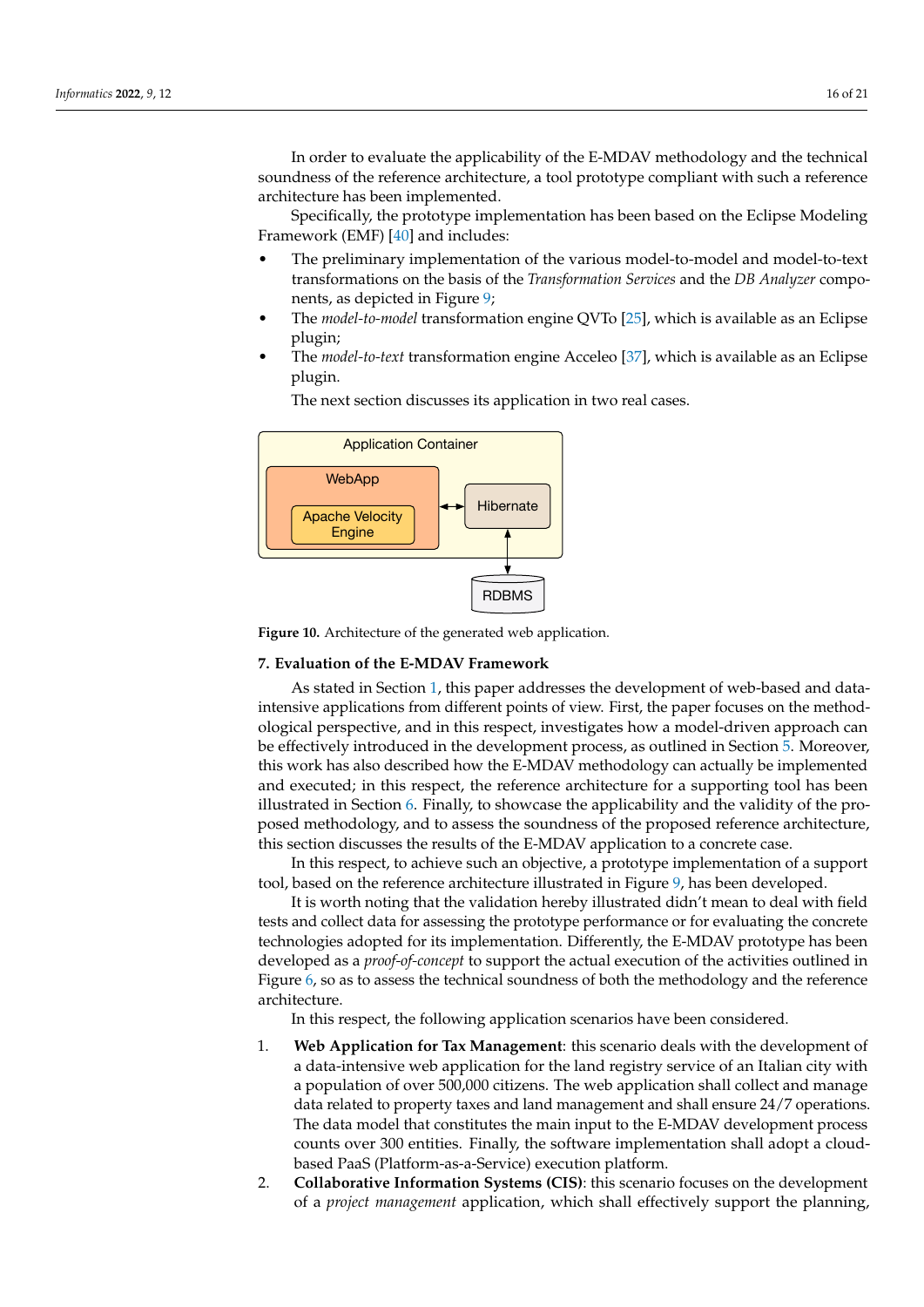In order to evaluate the applicability of the E-MDAV methodology and the technical soundness of the reference architecture, a tool prototype compliant with such a reference architecture has been implemented.

Specifically, the prototype implementation has been based on the Eclipse Modeling Framework (EMF) [\[40\]](#page-20-7) and includes:

- The preliminary implementation of the various model-to-model and model-to-text transformations on the basis of the *Transformation Services* and the *DB Analyzer* components, as depicted in Figure [9;](#page-13-2)
- The *model-to-model* transformation engine QVTo [\[25\]](#page-19-20), which is available as an Eclipse plugin;
- The *model-to-text* transformation engine Acceleo [\[37\]](#page-20-4), which is available as an Eclipse plugin.

<span id="page-15-1"></span>

The next section discusses its application in two real cases.

**Figure 10.** Architecture of the generated web application.

## <span id="page-15-0"></span>**7. Evaluation of the E-MDAV Framework**

As stated in Section [1,](#page-0-0) this paper addresses the development of web-based and dataintensive applications from different points of view. First, the paper focuses on the methodological perspective, and in this respect, investigates how a model-driven approach can be effectively introduced in the development process, as outlined in Section [5.](#page-8-0) Moreover, this work has also described how the E-MDAV methodology can actually be implemented and executed; in this respect, the reference architecture for a supporting tool has been illustrated in Section [6.](#page-13-0) Finally, to showcase the applicability and the validity of the proposed methodology, and to assess the soundness of the proposed reference architecture, this section discusses the results of the E-MDAV application to a concrete case.

In this respect, to achieve such an objective, a prototype implementation of a support tool, based on the reference architecture illustrated in Figure [9,](#page-13-2) has been developed.

It is worth noting that the validation hereby illustrated didn't mean to deal with field tests and collect data for assessing the prototype performance or for evaluating the concrete technologies adopted for its implementation. Differently, the E-MDAV prototype has been developed as a *proof-of-concept* to support the actual execution of the activities outlined in Figure [6,](#page-10-0) so as to assess the technical soundness of both the methodology and the reference architecture.

In this respect, the following application scenarios have been considered.

- 1. **Web Application for Tax Management**: this scenario deals with the development of a data-intensive web application for the land registry service of an Italian city with a population of over 500,000 citizens. The web application shall collect and manage data related to property taxes and land management and shall ensure 24/7 operations. The data model that constitutes the main input to the E-MDAV development process counts over 300 entities. Finally, the software implementation shall adopt a cloudbased PaaS (Platform-as-a-Service) execution platform.
- 2. **Collaborative Information Systems (CIS)**: this scenario focuses on the development of a *project management* application, which shall effectively support the planning,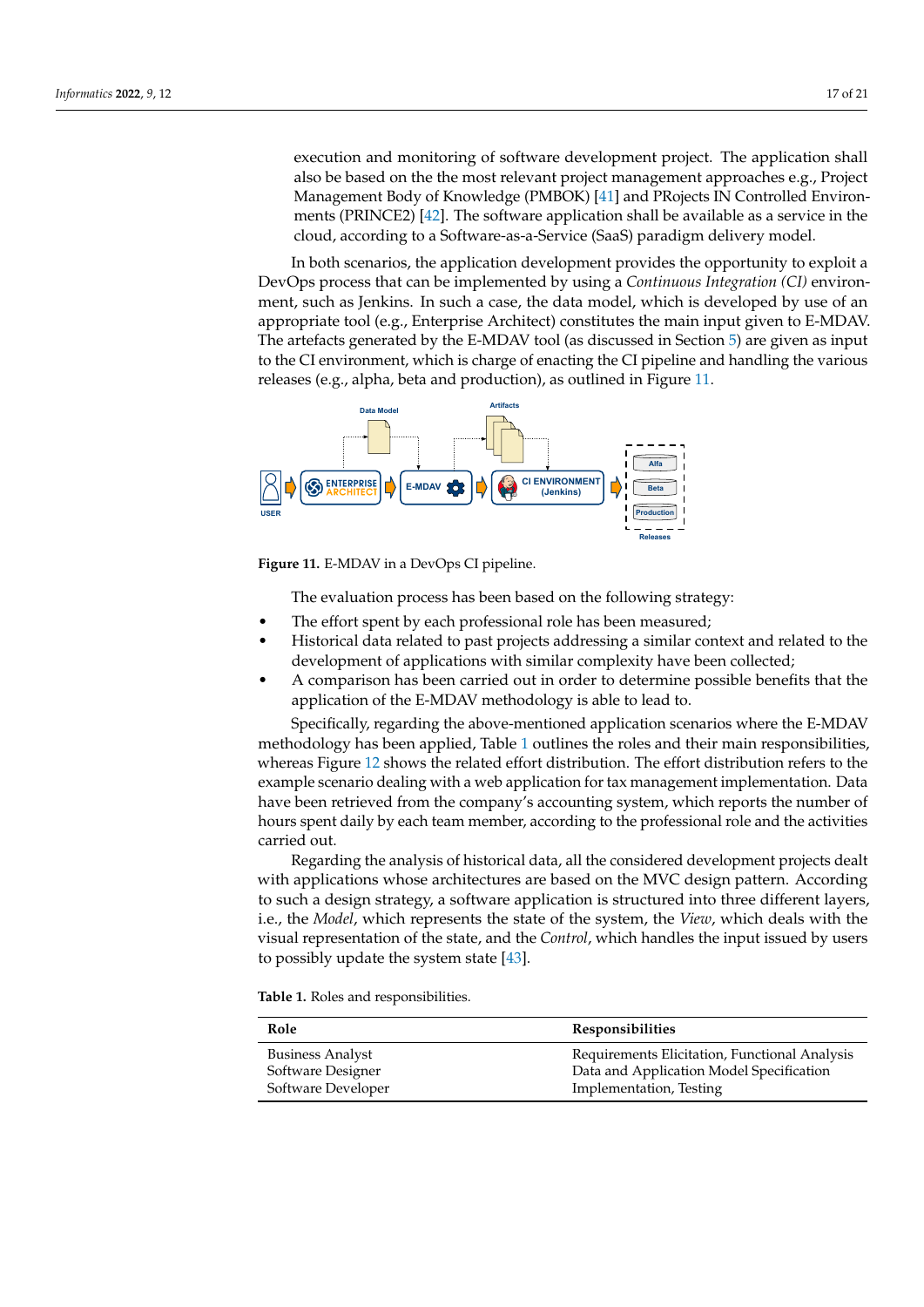execution and monitoring of software development project. The application shall also be based on the the most relevant project management approaches e.g., Project Management Body of Knowledge (PMBOK) [\[41\]](#page-20-8) and PRojects IN Controlled Environments (PRINCE2) [\[42\]](#page-20-9). The software application shall be available as a service in the cloud, according to a Software-as-a-Service (SaaS) paradigm delivery model.

In both scenarios, the application development provides the opportunity to exploit a DevOps process that can be implemented by using a *Continuous Integration (CI)* environment, such as Jenkins. In such a case, the data model, which is developed by use of an appropriate tool (e.g., Enterprise Architect) constitutes the main input given to E-MDAV. The artefacts generated by the E-MDAV tool (as discussed in Section [5\)](#page-8-0) are given as input to the CI environment, which is charge of enacting the CI pipeline and handling the various releases (e.g., alpha, beta and production), as outlined in Figure [11.](#page-16-0)

<span id="page-16-0"></span>

**Figure 11.** E-MDAV in a DevOps CI pipeline.

The evaluation process has been based on the following strategy:

- The effort spent by each professional role has been measured;
- Historical data related to past projects addressing a similar context and related to the development of applications with similar complexity have been collected;
- A comparison has been carried out in order to determine possible benefits that the application of the E-MDAV methodology is able to lead to.

Specifically, regarding the above-mentioned application scenarios where the E-MDAV methodology has been applied, Table [1](#page-16-1) outlines the roles and their main responsibilities, whereas Figure [12](#page-17-0) shows the related effort distribution. The effort distribution refers to the example scenario dealing with a web application for tax management implementation. Data have been retrieved from the company's accounting system, which reports the number of hours spent daily by each team member, according to the professional role and the activities carried out.

Regarding the analysis of historical data, all the considered development projects dealt with applications whose architectures are based on the MVC design pattern. According to such a design strategy, a software application is structured into three different layers, i.e., the *Model*, which represents the state of the system, the *View*, which deals with the visual representation of the state, and the *Control*, which handles the input issued by users to possibly update the system state [\[43\]](#page-20-10).

<span id="page-16-1"></span>**Table 1.** Roles and responsibilities.

| Role                    | <b>Responsibilities</b>                       |
|-------------------------|-----------------------------------------------|
| <b>Business Analyst</b> | Requirements Elicitation, Functional Analysis |
| Software Designer       | Data and Application Model Specification      |
| Software Developer      | Implementation, Testing                       |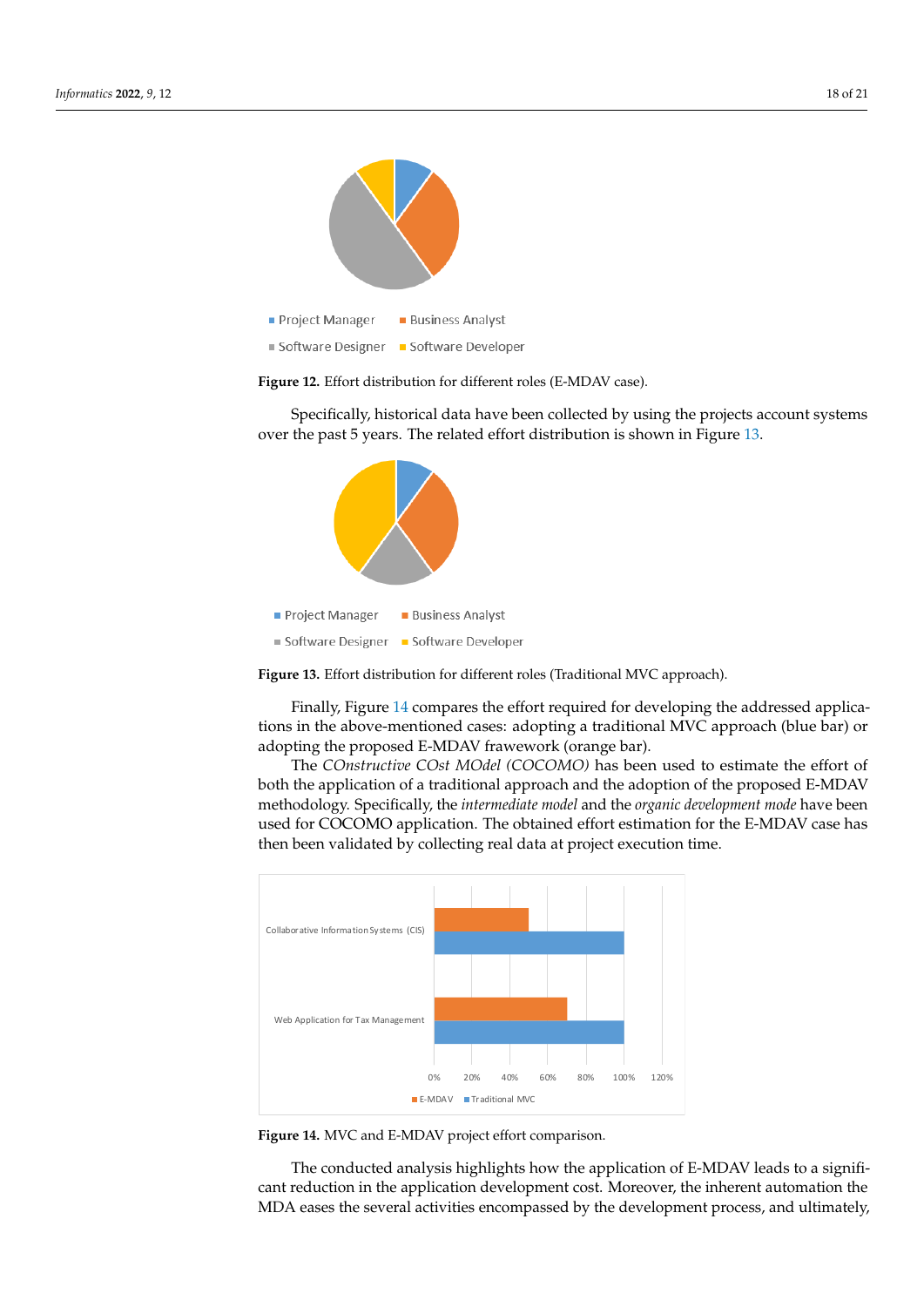<span id="page-17-0"></span>

**Figure 12.** Effort distribution for different roles (E-MDAV case).

Specifically, historical data have been collected by using the projects account systems over the past 5 years. The related effort distribution is shown in Figure [13.](#page-17-1)

<span id="page-17-1"></span>

**Figure 13.** Effort distribution for different roles (Traditional MVC approach).

Finally, Figure [14](#page-17-2) compares the effort required for developing the addressed applications in the above-mentioned cases: adopting a traditional MVC approach (blue bar) or adopting the proposed E-MDAV frawework (orange bar).

The *COnstructive COst MOdel (COCOMO)* has been used to estimate the effort of both the application of a traditional approach and the adoption of the proposed E-MDAV methodology. Specifically, the *intermediate model* and the *organic development mode* have been used for COCOMO application. The obtained effort estimation for the E-MDAV case has then been validated by collecting real data at project execution time.

<span id="page-17-2"></span>

**Figure 14.** MVC and E-MDAV project effort comparison.

The conducted analysis highlights how the application of E-MDAV leads to a significant reduction in the application development cost. Moreover, the inherent automation the MDA eases the several activities encompassed by the development process, and ultimately,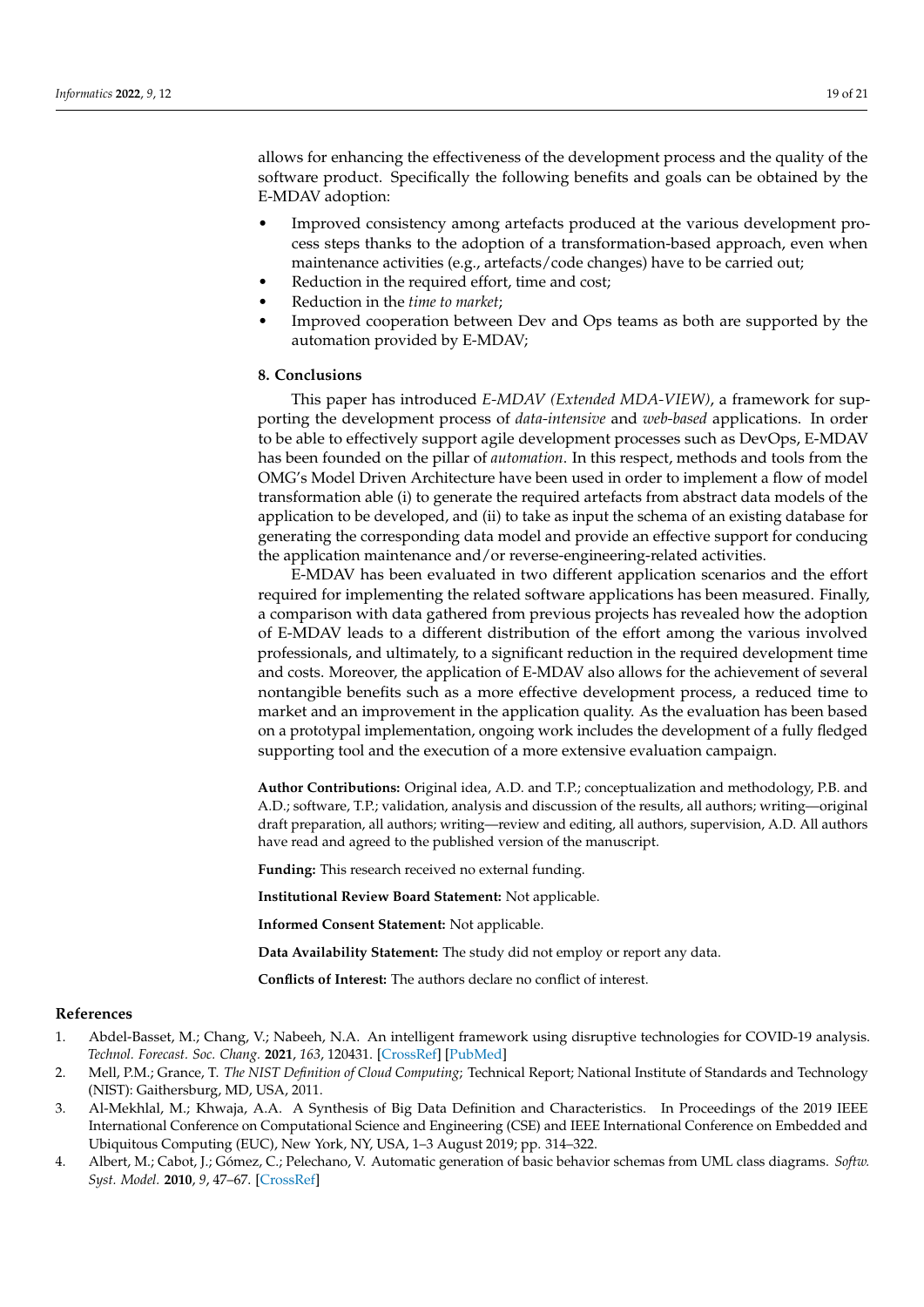allows for enhancing the effectiveness of the development process and the quality of the software product. Specifically the following benefits and goals can be obtained by the E-MDAV adoption:

- Improved consistency among artefacts produced at the various development process steps thanks to the adoption of a transformation-based approach, even when maintenance activities (e.g., artefacts/code changes) have to be carried out;
- Reduction in the required effort, time and cost;
- Reduction in the *time to market*;
- Improved cooperation between Dev and Ops teams as both are supported by the automation provided by E-MDAV;

# <span id="page-18-4"></span>**8. Conclusions**

This paper has introduced *E-MDAV (Extended MDA-VIEW)*, a framework for supporting the development process of *data-intensive* and *web-based* applications. In order to be able to effectively support agile development processes such as DevOps, E-MDAV has been founded on the pillar of *automation*. In this respect, methods and tools from the OMG's Model Driven Architecture have been used in order to implement a flow of model transformation able (i) to generate the required artefacts from abstract data models of the application to be developed, and (ii) to take as input the schema of an existing database for generating the corresponding data model and provide an effective support for conducing the application maintenance and/or reverse-engineering-related activities.

E-MDAV has been evaluated in two different application scenarios and the effort required for implementing the related software applications has been measured. Finally, a comparison with data gathered from previous projects has revealed how the adoption of E-MDAV leads to a different distribution of the effort among the various involved professionals, and ultimately, to a significant reduction in the required development time and costs. Moreover, the application of E-MDAV also allows for the achievement of several nontangible benefits such as a more effective development process, a reduced time to market and an improvement in the application quality. As the evaluation has been based on a prototypal implementation, ongoing work includes the development of a fully fledged supporting tool and the execution of a more extensive evaluation campaign.

**Author Contributions:** Original idea, A.D. and T.P.; conceptualization and methodology, P.B. and A.D.; software, T.P.; validation, analysis and discussion of the results, all authors; writing—original draft preparation, all authors; writing—review and editing, all authors, supervision, A.D. All authors have read and agreed to the published version of the manuscript.

**Funding:** This research received no external funding.

**Institutional Review Board Statement:** Not applicable.

**Informed Consent Statement:** Not applicable.

**Data Availability Statement:** The study did not employ or report any data.

**Conflicts of Interest:** The authors declare no conflict of interest.

# **References**

- <span id="page-18-0"></span>1. Abdel-Basset, M.; Chang, V.; Nabeeh, N.A. An intelligent framework using disruptive technologies for COVID-19 analysis. *Technol. Forecast. Soc. Chang.* **2021**, *163*, 120431. [\[CrossRef\]](http://doi.org/10.1016/j.techfore.2020.120431) [\[PubMed\]](http://www.ncbi.nlm.nih.gov/pubmed/33162617)
- <span id="page-18-1"></span>2. Mell, P.M.; Grance, T. *The NIST Definition of Cloud Computing*; Technical Report; National Institute of Standards and Technology (NIST): Gaithersburg, MD, USA, 2011.
- <span id="page-18-2"></span>3. Al-Mekhlal, M.; Khwaja, A.A. A Synthesis of Big Data Definition and Characteristics. In Proceedings of the 2019 IEEE International Conference on Computational Science and Engineering (CSE) and IEEE International Conference on Embedded and Ubiquitous Computing (EUC), New York, NY, USA, 1–3 August 2019; pp. 314–322.
- <span id="page-18-3"></span>4. Albert, M.; Cabot, J.; Gómez, C.; Pelechano, V. Automatic generation of basic behavior schemas from UML class diagrams. *Softw. Syst. Model.* **2010**, *9*, 47–67. [\[CrossRef\]](http://dx.doi.org/10.1007/s10270-008-0108-x)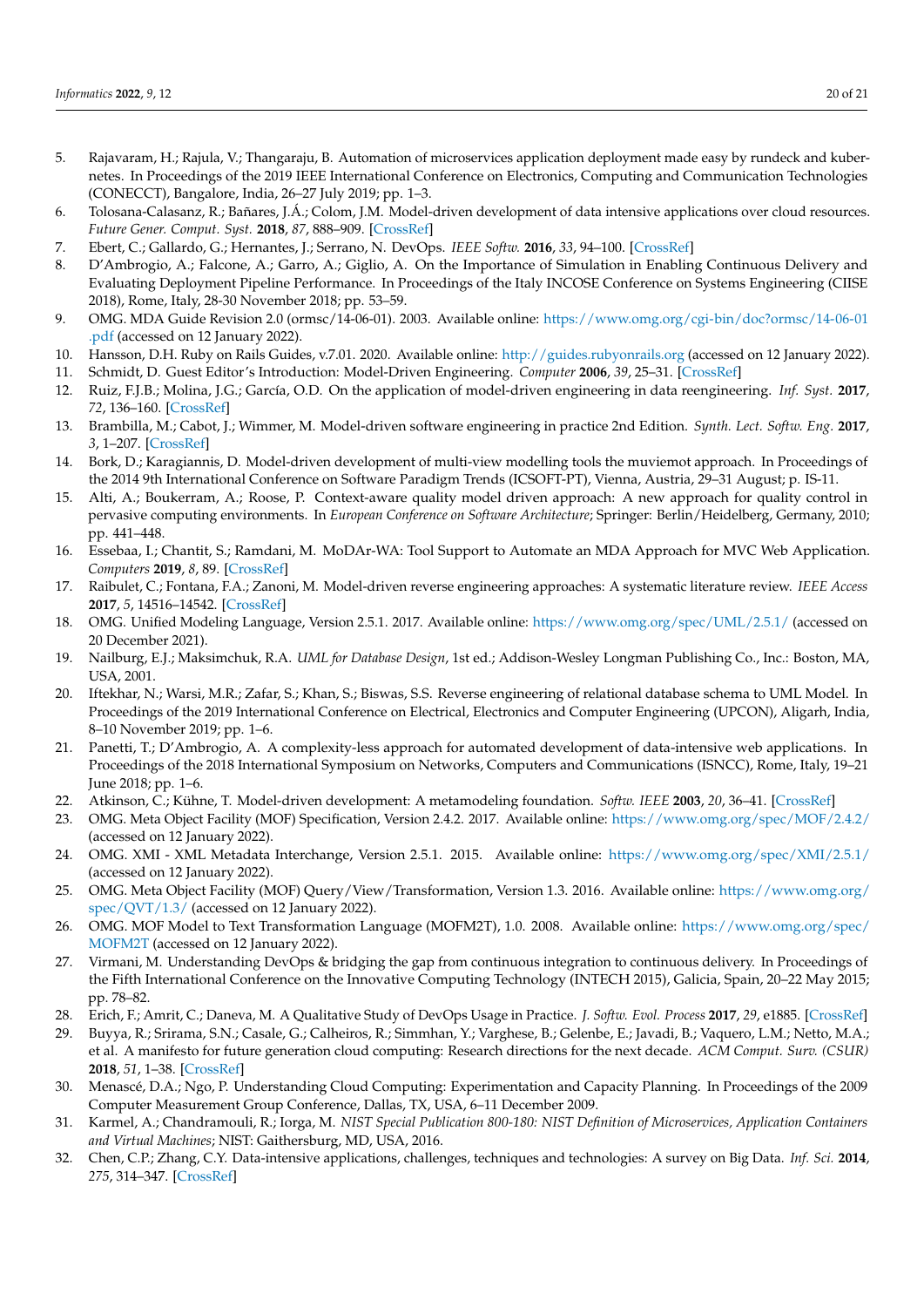- <span id="page-19-0"></span>5. Rajavaram, H.; Rajula, V.; Thangaraju, B. Automation of microservices application deployment made easy by rundeck and kubernetes. In Proceedings of the 2019 IEEE International Conference on Electronics, Computing and Communication Technologies (CONECCT), Bangalore, India, 26–27 July 2019; pp. 1–3.
- <span id="page-19-1"></span>6. Tolosana-Calasanz, R.; Bañares, J.Á.; Colom, J.M. Model-driven development of data intensive applications over cloud resources. *Future Gener. Comput. Syst.* **2018**, *87*, 888–909. [\[CrossRef\]](http://dx.doi.org/10.1016/j.future.2017.12.046)
- <span id="page-19-2"></span>7. Ebert, C.; Gallardo, G.; Hernantes, J.; Serrano, N. DevOps. *IEEE Softw.* **2016**, *33*, 94–100. [\[CrossRef\]](http://dx.doi.org/10.1109/MS.2016.68)
- <span id="page-19-3"></span>8. D'Ambrogio, A.; Falcone, A.; Garro, A.; Giglio, A. On the Importance of Simulation in Enabling Continuous Delivery and Evaluating Deployment Pipeline Performance. In Proceedings of the Italy INCOSE Conference on Systems Engineering (CIISE 2018), Rome, Italy, 28-30 November 2018; pp. 53–59.
- <span id="page-19-4"></span>9. OMG. MDA Guide Revision 2.0 (ormsc/14-06-01). 2003. Available online: [https://www.omg.org/cgi-bin/doc?ormsc/14-06-01](https://www.omg.org/cgi-bin/doc?ormsc/14-06-01.pdf) [.pdf](https://www.omg.org/cgi-bin/doc?ormsc/14-06-01.pdf) (accessed on 12 January 2022).
- <span id="page-19-5"></span>10. Hansson, D.H. Ruby on Rails Guides, v.7.01. 2020. Available online: <http://guides.rubyonrails.org> (accessed on 12 January 2022).
- <span id="page-19-6"></span>11. Schmidt, D. Guest Editor's Introduction: Model-Driven Engineering. *Computer* **2006**, *39*, 25–31. [\[CrossRef\]](http://dx.doi.org/10.1109/MC.2006.58)
- <span id="page-19-7"></span>12. Ruiz, F.J.B.; Molina, J.G.; García, O.D. On the application of model-driven engineering in data reengineering. *Inf. Syst.* **2017**, *72*, 136–160. [\[CrossRef\]](http://dx.doi.org/10.1016/j.is.2017.10.004)
- <span id="page-19-8"></span>13. Brambilla, M.; Cabot, J.; Wimmer, M. Model-driven software engineering in practice 2nd Edition. *Synth. Lect. Softw. Eng.* **2017**, *3*, 1–207. [\[CrossRef\]](http://dx.doi.org/10.2200/S00751ED2V01Y201701SWE004)
- <span id="page-19-9"></span>14. Bork, D.; Karagiannis, D. Model-driven development of multi-view modelling tools the muviemot approach. In Proceedings of the 2014 9th International Conference on Software Paradigm Trends (ICSOFT-PT), Vienna, Austria, 29–31 August; p. IS-11.
- <span id="page-19-11"></span>15. Alti, A.; Boukerram, A.; Roose, P. Context-aware quality model driven approach: A new approach for quality control in pervasive computing environments. In *European Conference on Software Architecture*; Springer: Berlin/Heidelberg, Germany, 2010; pp. 441–448.
- <span id="page-19-10"></span>16. Essebaa, I.; Chantit, S.; Ramdani, M. MoDAr-WA: Tool Support to Automate an MDA Approach for MVC Web Application. *Computers* **2019**, *8*, 89. [\[CrossRef\]](http://dx.doi.org/10.3390/computers8040089)
- <span id="page-19-12"></span>17. Raibulet, C.; Fontana, F.A.; Zanoni, M. Model-driven reverse engineering approaches: A systematic literature review. *IEEE Access* **2017**, *5*, 14516–14542. [\[CrossRef\]](http://dx.doi.org/10.1109/ACCESS.2017.2733518)
- <span id="page-19-13"></span>18. OMG. Unified Modeling Language, Version 2.5.1. 2017. Available online: <https://www.omg.org/spec/UML/2.5.1/> (accessed on 20 December 2021).
- <span id="page-19-14"></span>19. Nailburg, E.J.; Maksimchuk, R.A. *UML for Database Design*, 1st ed.; Addison-Wesley Longman Publishing Co., Inc.: Boston, MA, USA, 2001.
- <span id="page-19-15"></span>20. Iftekhar, N.; Warsi, M.R.; Zafar, S.; Khan, S.; Biswas, S.S. Reverse engineering of relational database schema to UML Model. In Proceedings of the 2019 International Conference on Electrical, Electronics and Computer Engineering (UPCON), Aligarh, India, 8–10 November 2019; pp. 1–6.
- <span id="page-19-16"></span>21. Panetti, T.; D'Ambrogio, A. A complexity-less approach for automated development of data-intensive web applications. In Proceedings of the 2018 International Symposium on Networks, Computers and Communications (ISNCC), Rome, Italy, 19–21 June 2018; pp. 1–6.
- <span id="page-19-17"></span>22. Atkinson, C.; Kühne, T. Model-driven development: A metamodeling foundation. *Softw. IEEE* **2003**, *20*, 36–41. [\[CrossRef\]](http://dx.doi.org/10.1109/MS.2003.1231149)
- <span id="page-19-18"></span>23. OMG. Meta Object Facility (MOF) Specification, Version 2.4.2. 2017. Available online: <https://www.omg.org/spec/MOF/2.4.2/> (accessed on 12 January 2022).
- <span id="page-19-19"></span>24. OMG. XMI - XML Metadata Interchange, Version 2.5.1. 2015. Available online: <https://www.omg.org/spec/XMI/2.5.1/> (accessed on 12 January 2022).
- <span id="page-19-20"></span>25. OMG. Meta Object Facility (MOF) Query/View/Transformation, Version 1.3. 2016. Available online: [https://www.omg.org/](https://www.omg.org/spec/QVT/1.3/) [spec/QVT/1.3/](https://www.omg.org/spec/QVT/1.3/) (accessed on 12 January 2022).
- <span id="page-19-21"></span>26. OMG. MOF Model to Text Transformation Language (MOFM2T), 1.0. 2008. Available online: [https://www.omg.org/spec/](https://www.omg.org/spec/MOFM2T) [MOFM2T](https://www.omg.org/spec/MOFM2T) (accessed on 12 January 2022).
- <span id="page-19-22"></span>27. Virmani, M. Understanding DevOps & bridging the gap from continuous integration to continuous delivery. In Proceedings of the Fifth International Conference on the Innovative Computing Technology (INTECH 2015), Galicia, Spain, 20–22 May 2015; pp. 78–82.
- <span id="page-19-23"></span>28. Erich, F.; Amrit, C.; Daneva, M. A Qualitative Study of DevOps Usage in Practice. *J. Softw. Evol. Process* **2017**, *29*, e1885. [\[CrossRef\]](http://dx.doi.org/10.1002/smr.1885)
- <span id="page-19-24"></span>29. Buyya, R.; Srirama, S.N.; Casale, G.; Calheiros, R.; Simmhan, Y.; Varghese, B.; Gelenbe, E.; Javadi, B.; Vaquero, L.M.; Netto, M.A.; et al. A manifesto for future generation cloud computing: Research directions for the next decade. *ACM Comput. Surv. (CSUR)* **2018**, *51*, 1–38. [\[CrossRef\]](http://dx.doi.org/10.1145/3241737)
- <span id="page-19-25"></span>30. Menascé, D.A.; Ngo, P. Understanding Cloud Computing: Experimentation and Capacity Planning. In Proceedings of the 2009 Computer Measurement Group Conference, Dallas, TX, USA, 6–11 December 2009.
- <span id="page-19-26"></span>31. Karmel, A.; Chandramouli, R.; Iorga, M. *NIST Special Publication 800-180: NIST Definition of Microservices, Application Containers and Virtual Machines*; NIST: Gaithersburg, MD, USA, 2016.
- <span id="page-19-27"></span>32. Chen, C.P.; Zhang, C.Y. Data-intensive applications, challenges, techniques and technologies: A survey on Big Data. *Inf. Sci.* **2014**, *275*, 314–347. [\[CrossRef\]](http://dx.doi.org/10.1016/j.ins.2014.01.015)